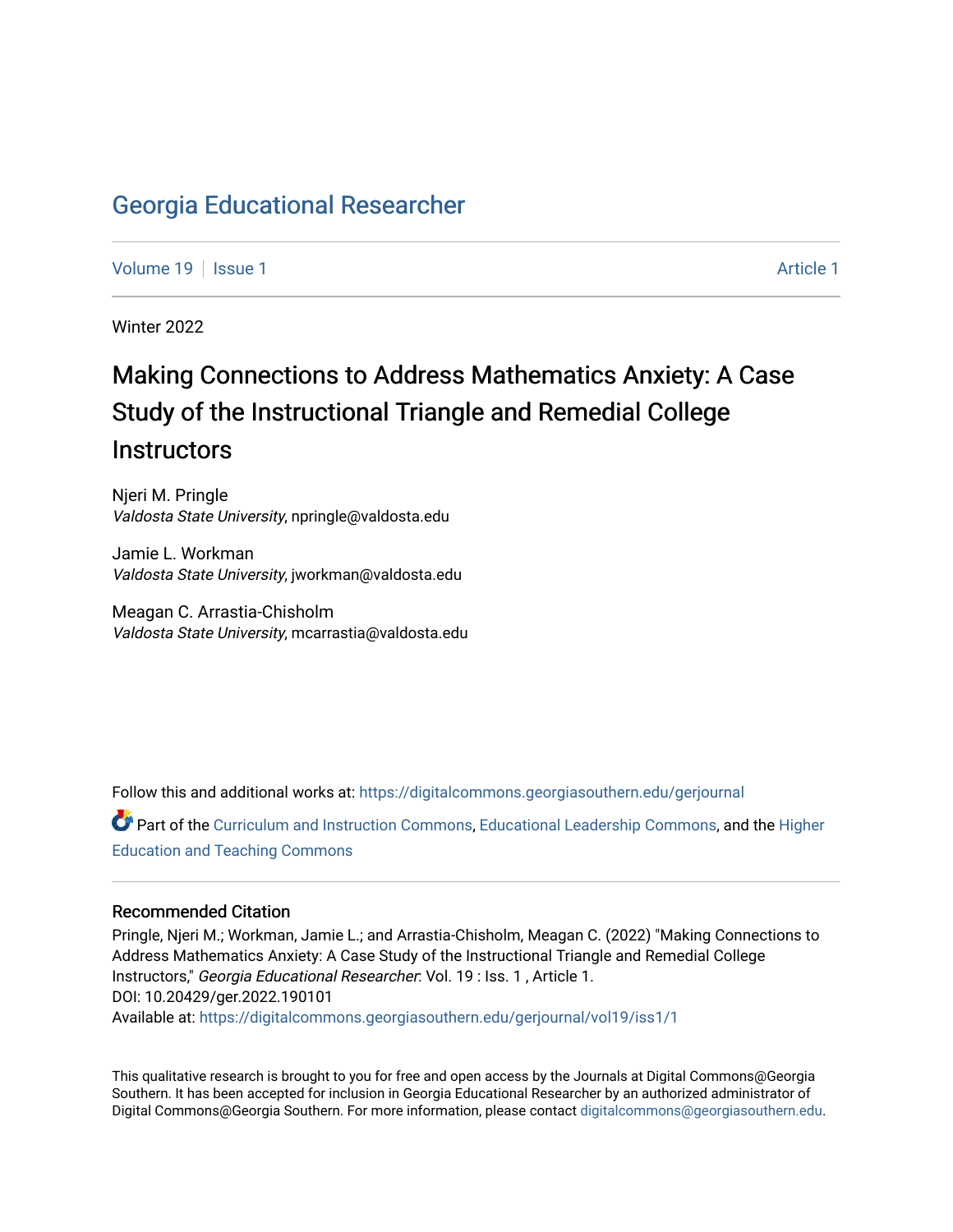# [Georgia Educational Researcher](https://digitalcommons.georgiasouthern.edu/gerjournal)

[Volume 19](https://digitalcommons.georgiasouthern.edu/gerjournal/vol19) | [Issue 1](https://digitalcommons.georgiasouthern.edu/gerjournal/vol19/iss1) [Article 1](https://digitalcommons.georgiasouthern.edu/gerjournal/vol19/iss1/1) Article 1 Article 1 Article 1 Article 1 Article 1 Article 1 Article 1 Article 1

Winter 2022

# Making Connections to Address Mathematics Anxiety: A Case Study of the Instructional Triangle and Remedial College **Instructors**

Njeri M. Pringle Valdosta State University, npringle@valdosta.edu

Jamie L. Workman Valdosta State University, jworkman@valdosta.edu

Meagan C. Arrastia-Chisholm Valdosta State University, mcarrastia@valdosta.edu

Follow this and additional works at: [https://digitalcommons.georgiasouthern.edu/gerjournal](https://digitalcommons.georgiasouthern.edu/gerjournal?utm_source=digitalcommons.georgiasouthern.edu%2Fgerjournal%2Fvol19%2Fiss1%2F1&utm_medium=PDF&utm_campaign=PDFCoverPages) 

Part of the [Curriculum and Instruction Commons,](http://network.bepress.com/hgg/discipline/786?utm_source=digitalcommons.georgiasouthern.edu%2Fgerjournal%2Fvol19%2Fiss1%2F1&utm_medium=PDF&utm_campaign=PDFCoverPages) [Educational Leadership Commons,](http://network.bepress.com/hgg/discipline/1230?utm_source=digitalcommons.georgiasouthern.edu%2Fgerjournal%2Fvol19%2Fiss1%2F1&utm_medium=PDF&utm_campaign=PDFCoverPages) and the [Higher](http://network.bepress.com/hgg/discipline/806?utm_source=digitalcommons.georgiasouthern.edu%2Fgerjournal%2Fvol19%2Fiss1%2F1&utm_medium=PDF&utm_campaign=PDFCoverPages)  [Education and Teaching Commons](http://network.bepress.com/hgg/discipline/806?utm_source=digitalcommons.georgiasouthern.edu%2Fgerjournal%2Fvol19%2Fiss1%2F1&utm_medium=PDF&utm_campaign=PDFCoverPages) 

#### Recommended Citation

Pringle, Njeri M.; Workman, Jamie L.; and Arrastia-Chisholm, Meagan C. (2022) "Making Connections to Address Mathematics Anxiety: A Case Study of the Instructional Triangle and Remedial College Instructors," Georgia Educational Researcher: Vol. 19 : Iss. 1 , Article 1. DOI: 10.20429/ger.2022.190101 Available at: [https://digitalcommons.georgiasouthern.edu/gerjournal/vol19/iss1/1](https://digitalcommons.georgiasouthern.edu/gerjournal/vol19/iss1/1?utm_source=digitalcommons.georgiasouthern.edu%2Fgerjournal%2Fvol19%2Fiss1%2F1&utm_medium=PDF&utm_campaign=PDFCoverPages)

This qualitative research is brought to you for free and open access by the Journals at Digital Commons@Georgia Southern. It has been accepted for inclusion in Georgia Educational Researcher by an authorized administrator of Digital Commons@Georgia Southern. For more information, please contact [digitalcommons@georgiasouthern.edu.](mailto:digitalcommons@georgiasouthern.edu)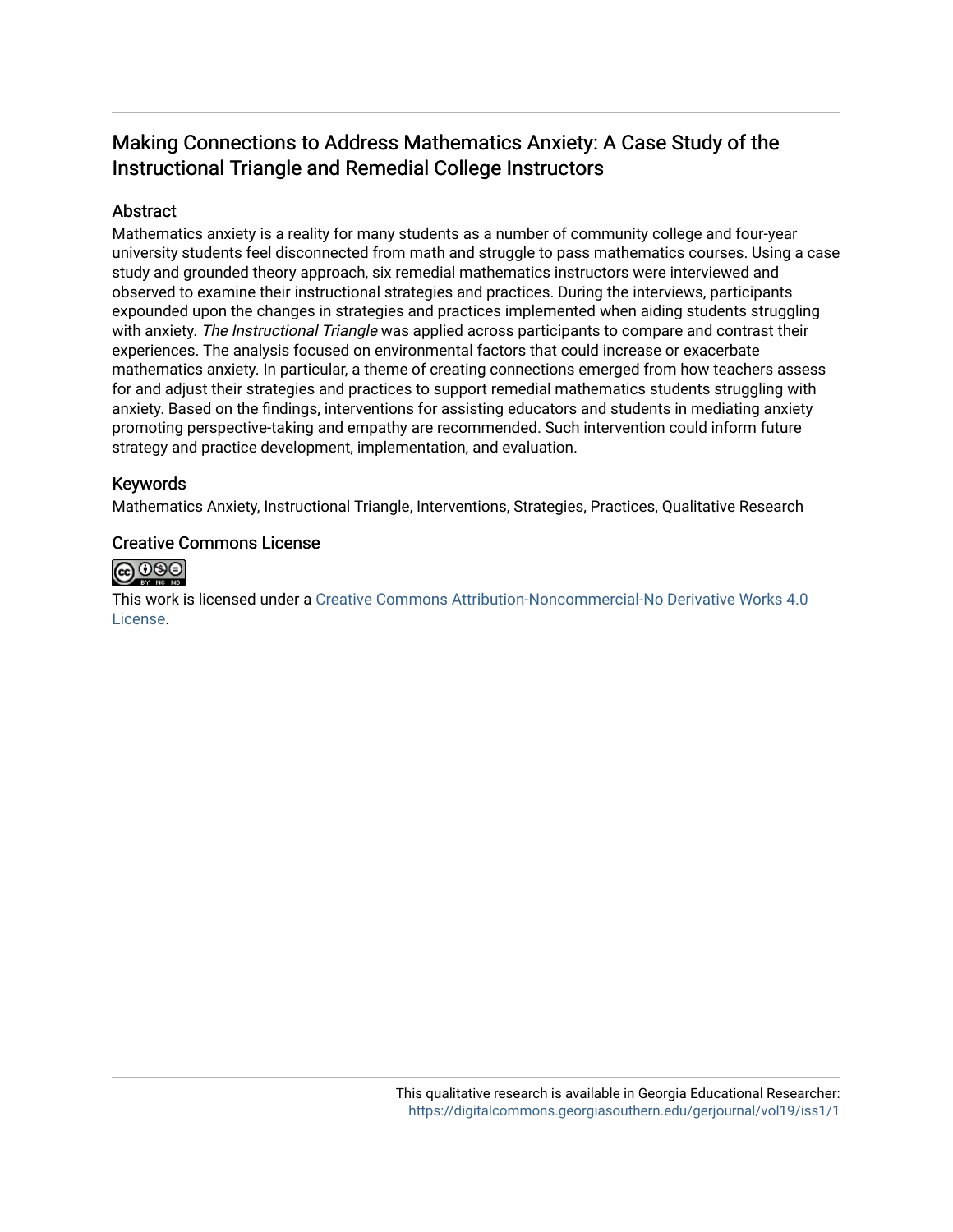# Making Connections to Address Mathematics Anxiety: A Case Study of the Instructional Triangle and Remedial College Instructors

# Abstract

Mathematics anxiety is a reality for many students as a number of community college and four-year university students feel disconnected from math and struggle to pass mathematics courses. Using a case study and grounded theory approach, six remedial mathematics instructors were interviewed and observed to examine their instructional strategies and practices. During the interviews, participants expounded upon the changes in strategies and practices implemented when aiding students struggling with anxiety. The Instructional Triangle was applied across participants to compare and contrast their experiences. The analysis focused on environmental factors that could increase or exacerbate mathematics anxiety. In particular, a theme of creating connections emerged from how teachers assess for and adjust their strategies and practices to support remedial mathematics students struggling with anxiety. Based on the findings, interventions for assisting educators and students in mediating anxiety promoting perspective-taking and empathy are recommended. Such intervention could inform future strategy and practice development, implementation, and evaluation.

# Keywords

Mathematics Anxiety, Instructional Triangle, Interventions, Strategies, Practices, Qualitative Research

# Creative Commons License



This work is licensed under a [Creative Commons Attribution-Noncommercial-No Derivative Works 4.0](http://creativecommons.org/licenses/by-nc-nd/4.0/) [License](http://creativecommons.org/licenses/by-nc-nd/4.0/).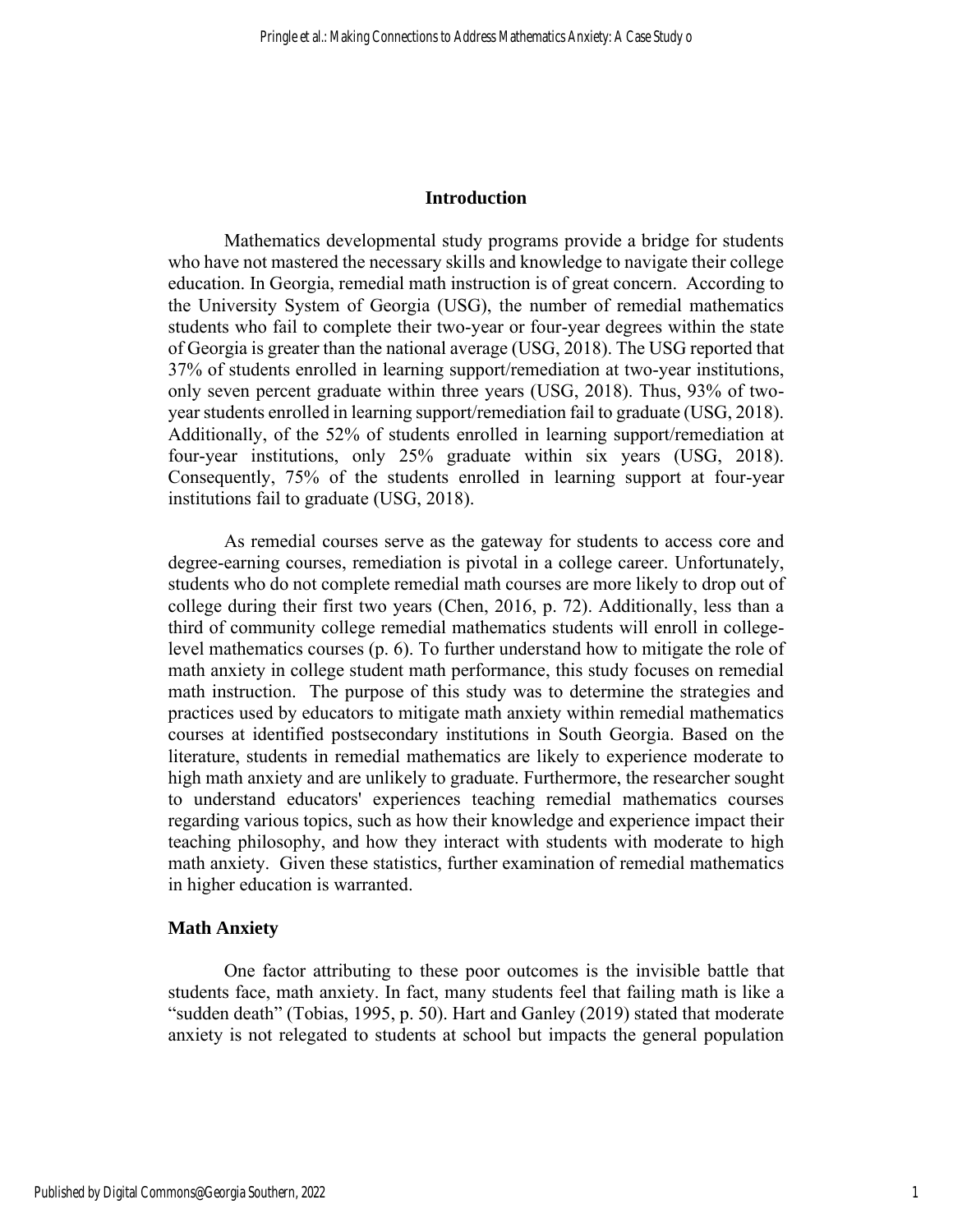#### **Introduction**

Mathematics developmental study programs provide a bridge for students who have not mastered the necessary skills and knowledge to navigate their college education. In Georgia, remedial math instruction is of great concern. According to the University System of Georgia (USG), the number of remedial mathematics students who fail to complete their two-year or four-year degrees within the state of Georgia is greater than the national average (USG, 2018). The USG reported that 37% of students enrolled in learning support/remediation at two-year institutions, only seven percent graduate within three years (USG, 2018). Thus, 93% of twoyear students enrolled in learning support/remediation fail to graduate (USG, 2018). Additionally, of the 52% of students enrolled in learning support/remediation at four-year institutions, only 25% graduate within six years (USG, 2018). Consequently, 75% of the students enrolled in learning support at four-year institutions fail to graduate (USG, 2018).

As remedial courses serve as the gateway for students to access core and degree-earning courses, remediation is pivotal in a college career. Unfortunately, students who do not complete remedial math courses are more likely to drop out of college during their first two years (Chen, 2016, p. 72). Additionally, less than a third of community college remedial mathematics students will enroll in collegelevel mathematics courses (p. 6). To further understand how to mitigate the role of math anxiety in college student math performance, this study focuses on remedial math instruction. The purpose of this study was to determine the strategies and practices used by educators to mitigate math anxiety within remedial mathematics courses at identified postsecondary institutions in South Georgia. Based on the literature, students in remedial mathematics are likely to experience moderate to high math anxiety and are unlikely to graduate. Furthermore, the researcher sought to understand educators' experiences teaching remedial mathematics courses regarding various topics, such as how their knowledge and experience impact their teaching philosophy, and how they interact with students with moderate to high math anxiety. Given these statistics, further examination of remedial mathematics in higher education is warranted.

#### **Math Anxiety**

One factor attributing to these poor outcomes is the invisible battle that students face, math anxiety. In fact, many students feel that failing math is like a "sudden death" (Tobias, 1995, p. 50). Hart and Ganley (2019) stated that moderate anxiety is not relegated to students at school but impacts the general population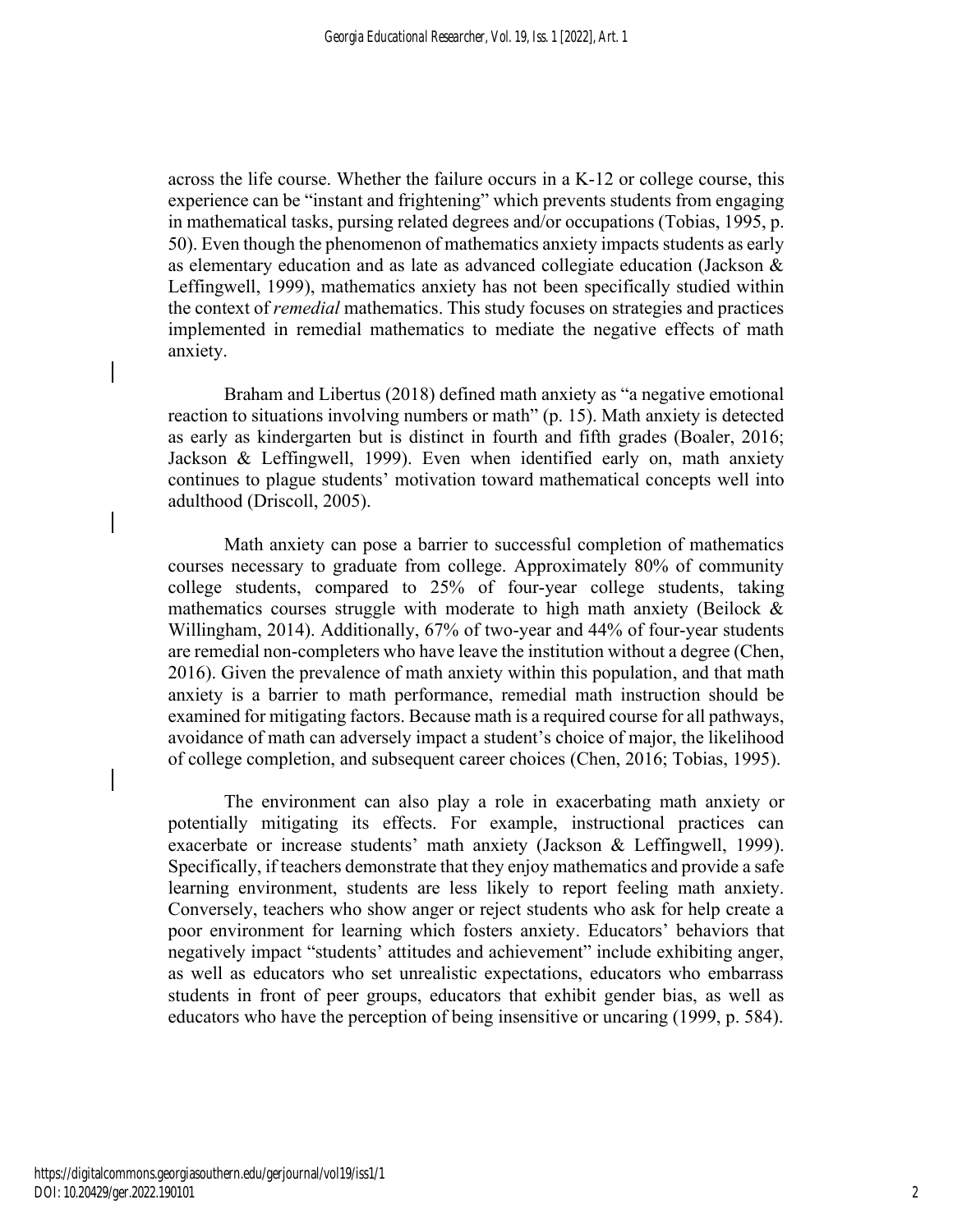across the life course. Whether the failure occurs in a K-12 or college course, this experience can be "instant and frightening" which prevents students from engaging in mathematical tasks, pursing related degrees and/or occupations (Tobias, 1995, p. 50). Even though the phenomenon of mathematics anxiety impacts students as early as elementary education and as late as advanced collegiate education (Jackson & Leffingwell, 1999), mathematics anxiety has not been specifically studied within the context of *remedial* mathematics. This study focuses on strategies and practices implemented in remedial mathematics to mediate the negative effects of math anxiety.

Braham and Libertus (2018) defined math anxiety as "a negative emotional reaction to situations involving numbers or math" (p. 15). Math anxiety is detected as early as kindergarten but is distinct in fourth and fifth grades (Boaler, 2016; Jackson & Leffingwell, 1999). Even when identified early on, math anxiety continues to plague students' motivation toward mathematical concepts well into adulthood (Driscoll, 2005).

Math anxiety can pose a barrier to successful completion of mathematics courses necessary to graduate from college. Approximately 80% of community college students, compared to 25% of four-year college students, taking mathematics courses struggle with moderate to high math anxiety (Beilock  $\&$ Willingham, 2014). Additionally, 67% of two-year and 44% of four-year students are remedial non-completers who have leave the institution without a degree (Chen, 2016). Given the prevalence of math anxiety within this population, and that math anxiety is a barrier to math performance, remedial math instruction should be examined for mitigating factors. Because math is a required course for all pathways, avoidance of math can adversely impact a student's choice of major, the likelihood of college completion, and subsequent career choices (Chen, 2016; Tobias, 1995).

The environment can also play a role in exacerbating math anxiety or potentially mitigating its effects. For example, instructional practices can exacerbate or increase students' math anxiety (Jackson & Leffingwell, 1999). Specifically, if teachers demonstrate that they enjoy mathematics and provide a safe learning environment, students are less likely to report feeling math anxiety. Conversely, teachers who show anger or reject students who ask for help create a poor environment for learning which fosters anxiety. Educators' behaviors that negatively impact "students' attitudes and achievement" include exhibiting anger, as well as educators who set unrealistic expectations, educators who embarrass students in front of peer groups, educators that exhibit gender bias, as well as educators who have the perception of being insensitive or uncaring (1999, p. 584).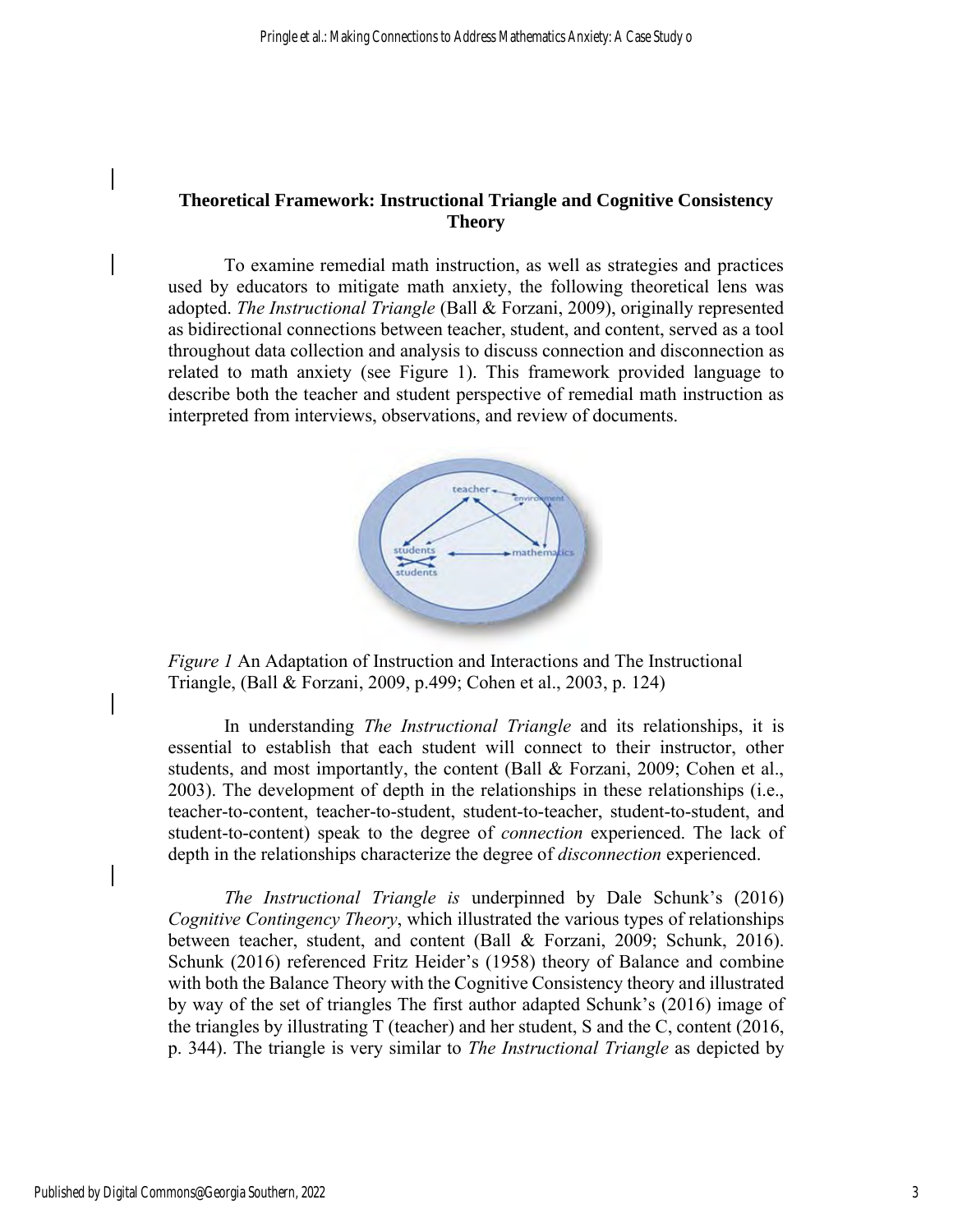# **Theoretical Framework: Instructional Triangle and Cognitive Consistency Theory**

To examine remedial math instruction, as well as strategies and practices used by educators to mitigate math anxiety, the following theoretical lens was adopted. *The Instructional Triangle* (Ball & Forzani, 2009), originally represented as bidirectional connections between teacher, student, and content, served as a tool throughout data collection and analysis to discuss connection and disconnection as related to math anxiety (see Figure 1). This framework provided language to describe both the teacher and student perspective of remedial math instruction as interpreted from interviews, observations, and review of documents.



*Figure 1* An Adaptation of Instruction and Interactions and The Instructional Triangle, (Ball & Forzani, 2009, p.499; Cohen et al., 2003, p. 124)

In understanding *The Instructional Triangle* and its relationships, it is essential to establish that each student will connect to their instructor, other students, and most importantly, the content (Ball & Forzani, 2009; Cohen et al., 2003). The development of depth in the relationships in these relationships (i.e., teacher-to-content, teacher-to-student, student-to-teacher, student-to-student, and student-to-content) speak to the degree of *connection* experienced. The lack of depth in the relationships characterize the degree of *disconnection* experienced.

*The Instructional Triangle is* underpinned by Dale Schunk's (2016) *Cognitive Contingency Theory*, which illustrated the various types of relationships between teacher, student, and content (Ball & Forzani, 2009; Schunk, 2016). Schunk (2016) referenced Fritz Heider's (1958) theory of Balance and combine with both the Balance Theory with the Cognitive Consistency theory and illustrated by way of the set of triangles The first author adapted Schunk's (2016) image of the triangles by illustrating T (teacher) and her student, S and the C, content (2016, p. 344). The triangle is very similar to *The Instructional Triangle* as depicted by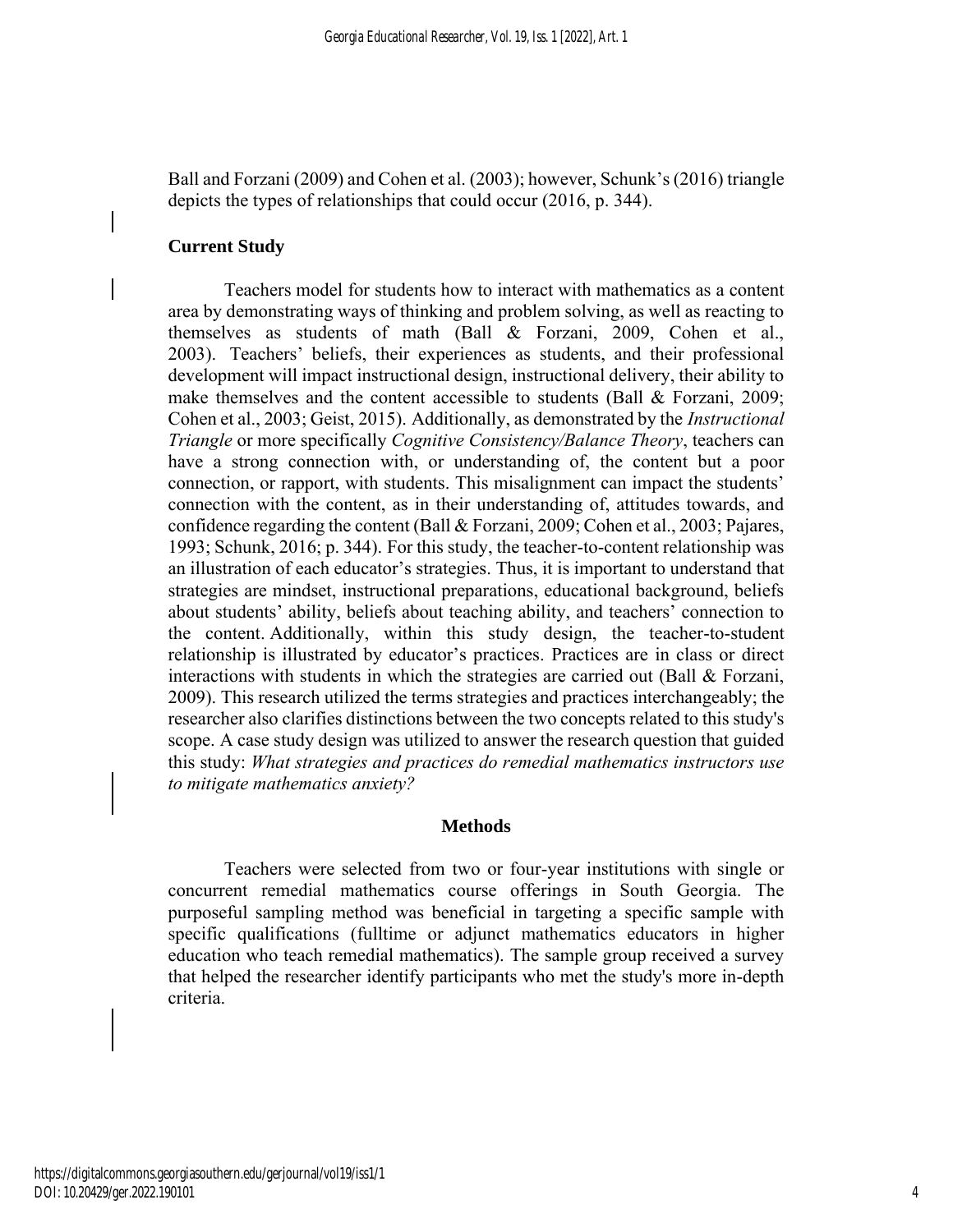Ball and Forzani (2009) and Cohen et al. (2003); however, Schunk's (2016) triangle depicts the types of relationships that could occur (2016, p. 344).

## **Current Study**

Teachers model for students how to interact with mathematics as a content area by demonstrating ways of thinking and problem solving, as well as reacting to themselves as students of math (Ball & Forzani, 2009, Cohen et al., 2003). Teachers' beliefs, their experiences as students, and their professional development will impact instructional design, instructional delivery, their ability to make themselves and the content accessible to students (Ball & Forzani, 2009; Cohen et al., 2003; Geist, 2015). Additionally, as demonstrated by the *Instructional Triangle* or more specifically *Cognitive Consistency/Balance Theory*, teachers can have a strong connection with, or understanding of, the content but a poor connection, or rapport, with students. This misalignment can impact the students' connection with the content, as in their understanding of, attitudes towards, and confidence regarding the content (Ball & Forzani, 2009; Cohen et al., 2003; Pajares, 1993; Schunk, 2016; p. 344). For this study, the teacher-to-content relationship was an illustration of each educator's strategies. Thus, it is important to understand that strategies are mindset, instructional preparations, educational background, beliefs about students' ability, beliefs about teaching ability, and teachers' connection to the content. Additionally, within this study design, the teacher-to-student relationship is illustrated by educator's practices. Practices are in class or direct interactions with students in which the strategies are carried out (Ball & Forzani, 2009). This research utilized the terms strategies and practices interchangeably; the researcher also clarifies distinctions between the two concepts related to this study's scope. A case study design was utilized to answer the research question that guided this study: *What strategies and practices do remedial mathematics instructors use to mitigate mathematics anxiety?*

#### **Methods**

Teachers were selected from two or four-year institutions with single or concurrent remedial mathematics course offerings in South Georgia. The purposeful sampling method was beneficial in targeting a specific sample with specific qualifications (fulltime or adjunct mathematics educators in higher education who teach remedial mathematics). The sample group received a survey that helped the researcher identify participants who met the study's more in-depth criteria.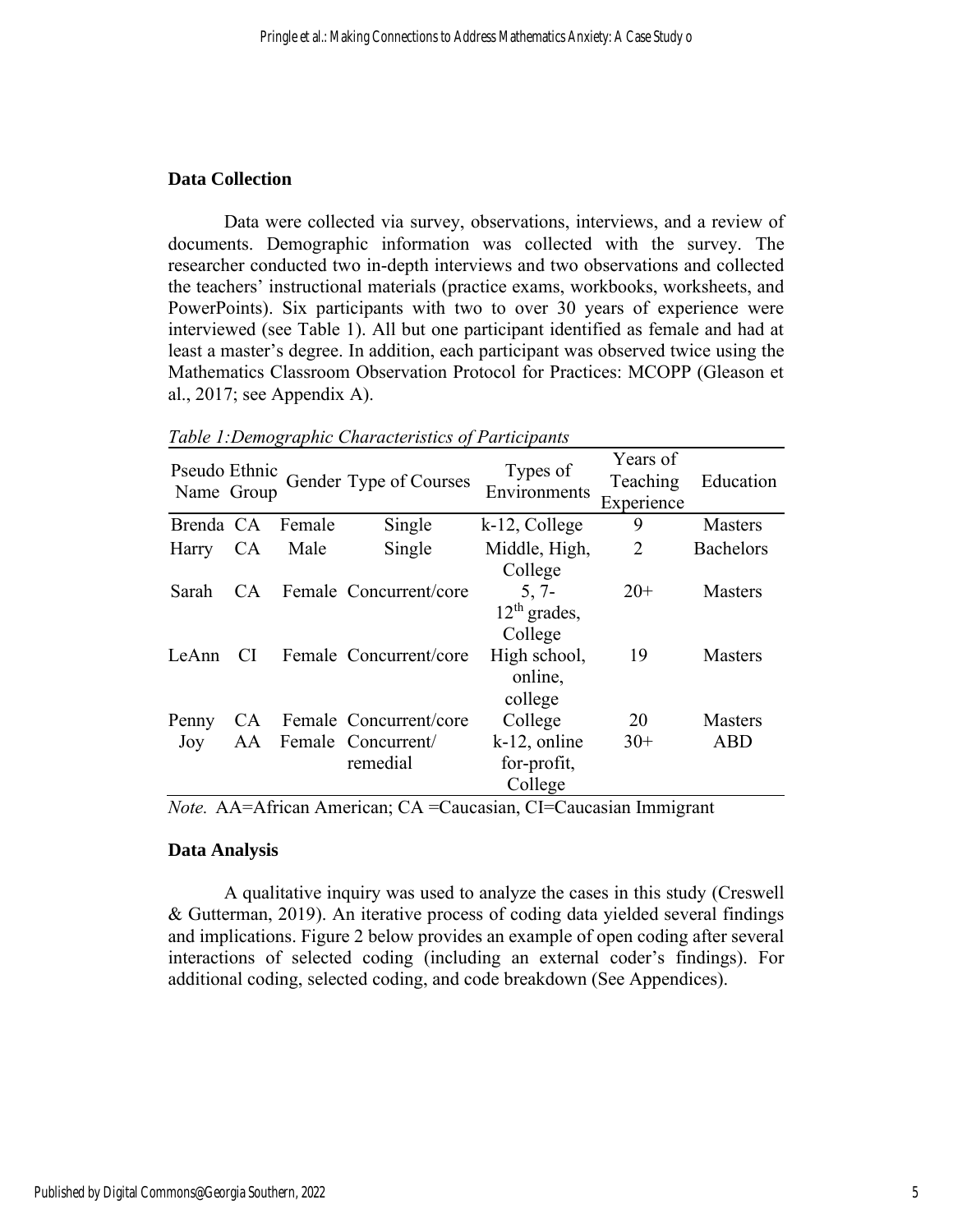# **Data Collection**

Data were collected via survey, observations, interviews, and a review of documents. Demographic information was collected with the survey. The researcher conducted two in-depth interviews and two observations and collected the teachers' instructional materials (practice exams, workbooks, worksheets, and PowerPoints). Six participants with two to over 30 years of experience were interviewed (see Table 1). All but one participant identified as female and had at least a master's degree. In addition, each participant was observed twice using the Mathematics Classroom Observation Protocol for Practices: MCOPP (Gleason et al., 2017; see Appendix A).

| Pseudo Ethnic<br>Name Group |           |        | Gender Type of Courses                                      | Types of<br>Environments                                        | Years of<br>Teaching<br>Experience | Education                    |
|-----------------------------|-----------|--------|-------------------------------------------------------------|-----------------------------------------------------------------|------------------------------------|------------------------------|
| Brenda CA                   |           | Female | Single                                                      | k-12, College                                                   | 9                                  | <b>Masters</b>               |
| Harry CA                    |           | Male   | Single                                                      | Middle, High,                                                   | 2                                  | <b>Bachelors</b>             |
| Sarah                       | CA.       |        | Female Concurrent/core                                      | College<br>$5, 7-$                                              | $20+$                              | <b>Masters</b>               |
| LeAnn                       | <b>CI</b> |        | Female Concurrent/core                                      | $12th$ grades,<br>College<br>High school,<br>online,            | 19                                 | <b>Masters</b>               |
| Penny<br>Joy                | AA        |        | CA Female Concurrent/core<br>Female Concurrent/<br>remedial | college<br>College<br>$k-12$ , online<br>for-profit,<br>College | 20<br>$30+$                        | <b>Masters</b><br><b>ABD</b> |

*Table 1:Demographic Characteristics of Participants*

*Note.*AA=African American; CA =Caucasian, CI=Caucasian Immigrant 

#### **Data Analysis**

A qualitative inquiry was used to analyze the cases in this study (Creswell & Gutterman, 2019). An iterative process of coding data yielded several findings and implications. Figure 2 below provides an example of open coding after several interactions of selected coding (including an external coder's findings). For additional coding, selected coding, and code breakdown (See Appendices).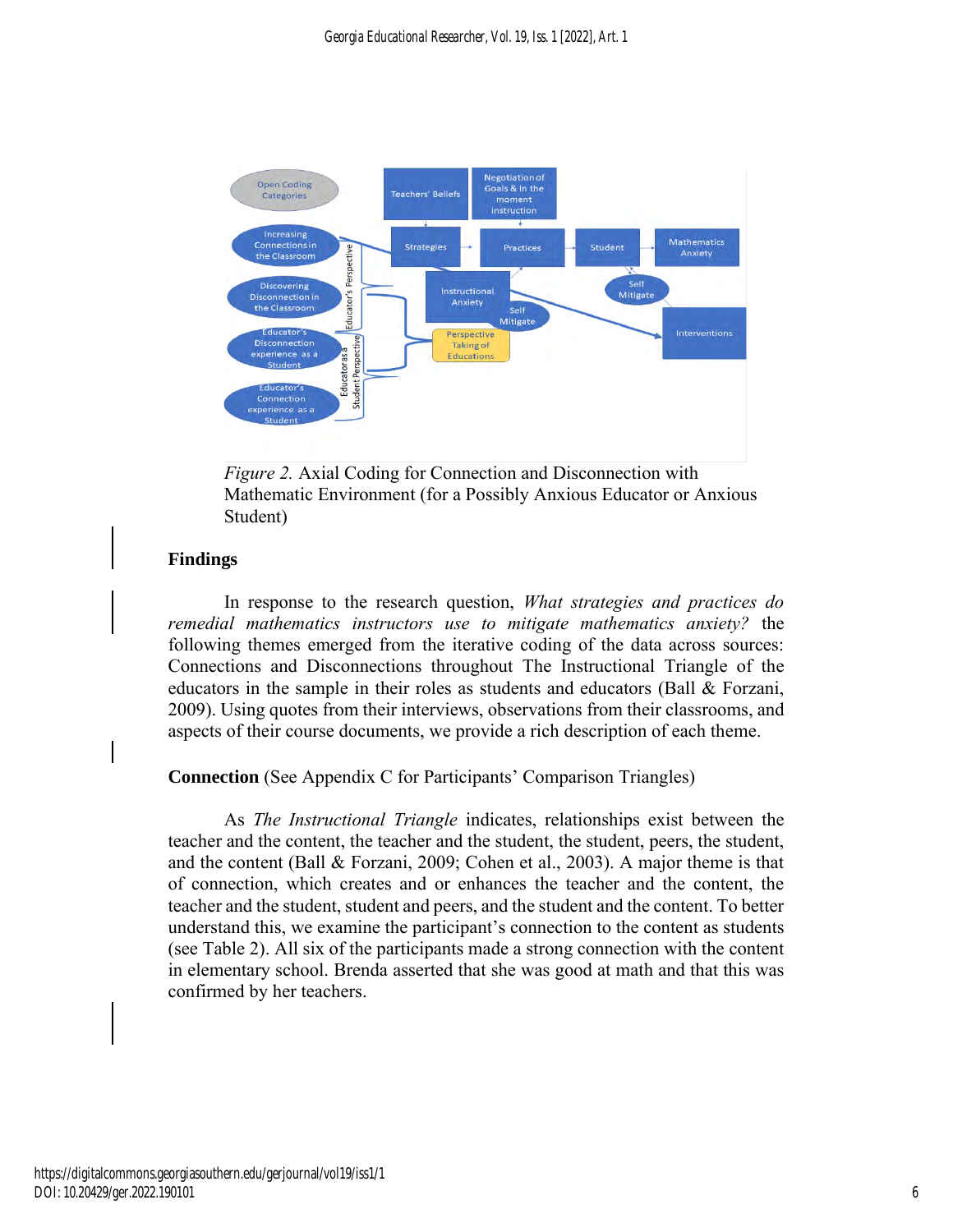

*Figure 2.* Axial Coding for Connection and Disconnection with Mathematic Environment (for a Possibly Anxious Educator or Anxious Student)

# **Findings**

In response to the research question, *What strategies and practices do remedial mathematics instructors use to mitigate mathematics anxiety?* the following themes emerged from the iterative coding of the data across sources: Connections and Disconnections throughout The Instructional Triangle of the educators in the sample in their roles as students and educators (Ball & Forzani, 2009). Using quotes from their interviews, observations from their classrooms, and aspects of their course documents, we provide a rich description of each theme.

# **Connection** (See Appendix C for Participants' Comparison Triangles)

As *The Instructional Triangle* indicates, relationships exist between the teacher and the content, the teacher and the student, the student, peers, the student, and the content (Ball & Forzani, 2009; Cohen et al., 2003). A major theme is that of connection, which creates and or enhances the teacher and the content, the teacher and the student, student and peers, and the student and the content. To better understand this, we examine the participant's connection to the content as students (see Table 2). All six of the participants made a strong connection with the content in elementary school. Brenda asserted that she was good at math and that this was confirmed by her teachers.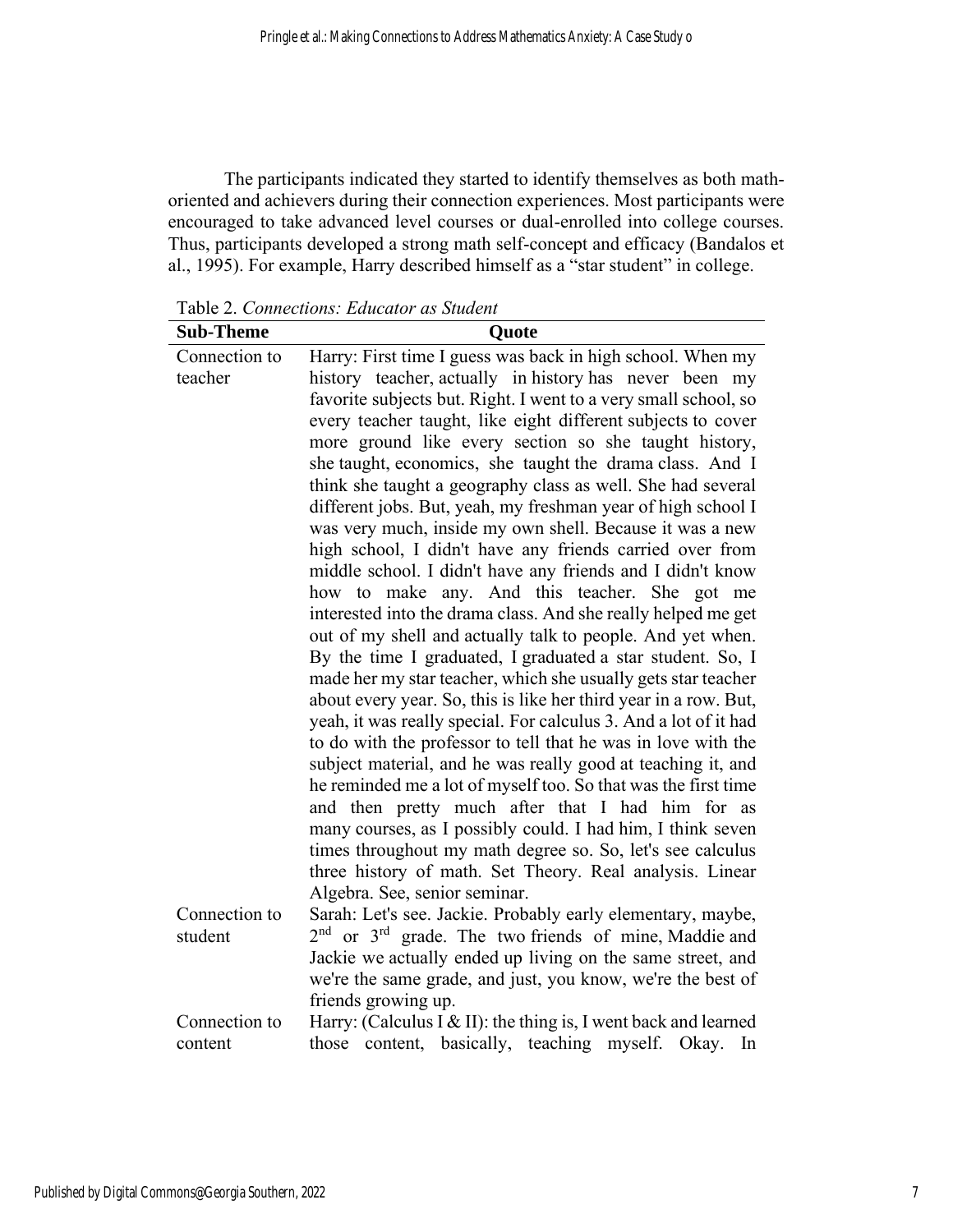The participants indicated they started to identify themselves as both mathoriented and achievers during their connection experiences. Most participants were encouraged to take advanced level courses or dual-enrolled into college courses. Thus, participants developed a strong math self-concept and efficacy (Bandalos et al., 1995). For example, Harry described himself as a "star student" in college.

Table 2. *Connections: Educator as Student*

| <b>Sub-Theme</b> | Quote                                                                                                                       |
|------------------|-----------------------------------------------------------------------------------------------------------------------------|
| Connection to    | Harry: First time I guess was back in high school. When my                                                                  |
| teacher          | history teacher, actually in history has never been my                                                                      |
|                  | favorite subjects but. Right. I went to a very small school, so                                                             |
|                  | every teacher taught, like eight different subjects to cover                                                                |
|                  | more ground like every section so she taught history,                                                                       |
|                  | she taught, economics, she taught the drama class. And I                                                                    |
|                  | think she taught a geography class as well. She had several                                                                 |
|                  | different jobs. But, yeah, my freshman year of high school I                                                                |
|                  | was very much, inside my own shell. Because it was a new                                                                    |
|                  | high school, I didn't have any friends carried over from                                                                    |
|                  | middle school. I didn't have any friends and I didn't know                                                                  |
|                  | how to make any. And this teacher. She got me                                                                               |
|                  | interested into the drama class. And she really helped me get<br>out of my shell and actually talk to people. And yet when. |
|                  | By the time I graduated, I graduated a star student. So, I                                                                  |
|                  | made her my star teacher, which she usually gets star teacher                                                               |
|                  | about every year. So, this is like her third year in a row. But,                                                            |
|                  | yeah, it was really special. For calculus 3. And a lot of it had                                                            |
|                  | to do with the professor to tell that he was in love with the                                                               |
|                  | subject material, and he was really good at teaching it, and                                                                |
|                  | he reminded me a lot of myself too. So that was the first time                                                              |
|                  | and then pretty much after that I had him for as                                                                            |
|                  | many courses, as I possibly could. I had him, I think seven                                                                 |
|                  | times throughout my math degree so. So, let's see calculus                                                                  |
|                  | three history of math. Set Theory. Real analysis. Linear                                                                    |
|                  | Algebra. See, senior seminar.                                                                                               |
| Connection to    | Sarah: Let's see. Jackie. Probably early elementary, maybe,                                                                 |
| student          | $2nd$ or $3rd$ grade. The two friends of mine, Maddie and                                                                   |
|                  | Jackie we actually ended up living on the same street, and                                                                  |
|                  | we're the same grade, and just, you know, we're the best of                                                                 |
|                  | friends growing up.                                                                                                         |
| Connection to    | Harry: (Calculus I & II): the thing is, I went back and learned                                                             |
| content          | those content, basically, teaching myself. Okay. In                                                                         |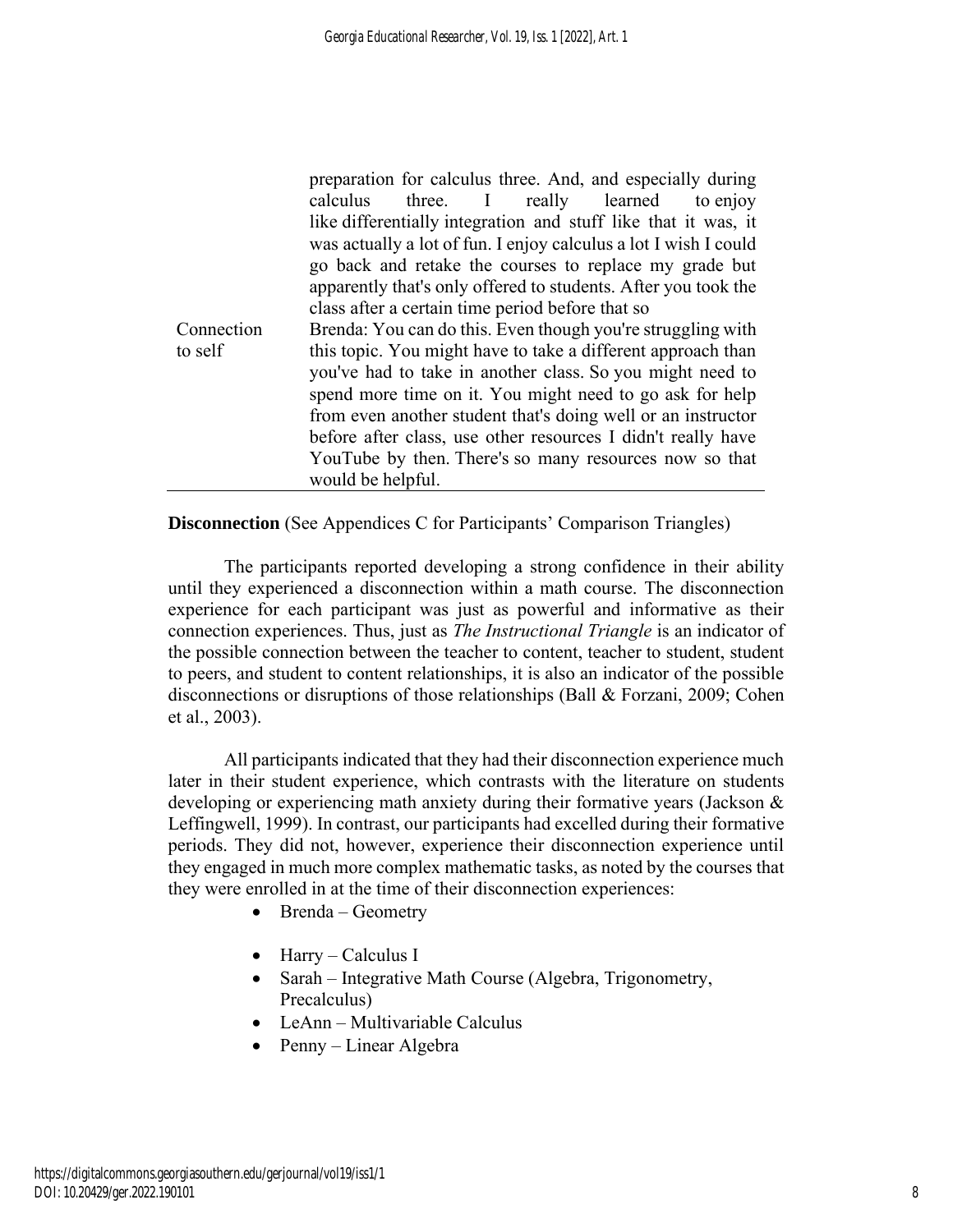|            | preparation for calculus three. And, and especially during       |
|------------|------------------------------------------------------------------|
|            | to enjoy<br>three. I really learned<br>calculus                  |
|            | like differentially integration and stuff like that it was, it   |
|            | was actually a lot of fun. I enjoy calculus a lot I wish I could |
|            | go back and retake the courses to replace my grade but           |
|            | apparently that's only offered to students. After you took the   |
|            | class after a certain time period before that so                 |
| Connection | Brenda: You can do this. Even though you're struggling with      |
| to self    | this topic. You might have to take a different approach than     |
|            | you've had to take in another class. So you might need to        |
|            | spend more time on it. You might need to go ask for help         |
|            | from even another student that's doing well or an instructor     |
|            | before after class, use other resources I didn't really have     |
|            | YouTube by then. There's so many resources now so that           |
|            | would be helpful.                                                |

**Disconnection** (See Appendices C for Participants' Comparison Triangles)

The participants reported developing a strong confidence in their ability until they experienced a disconnection within a math course. The disconnection experience for each participant was just as powerful and informative as their connection experiences. Thus, just as *The Instructional Triangle* is an indicator of the possible connection between the teacher to content, teacher to student, student to peers, and student to content relationships, it is also an indicator of the possible disconnections or disruptions of those relationships (Ball & Forzani, 2009; Cohen et al., 2003).

All participants indicated that they had their disconnection experience much later in their student experience, which contrasts with the literature on students developing or experiencing math anxiety during their formative years (Jackson & Leffingwell, 1999). In contrast, our participants had excelled during their formative periods. They did not, however, experience their disconnection experience until they engaged in much more complex mathematic tasks, as noted by the courses that they were enrolled in at the time of their disconnection experiences:

- Brenda Geometry
- Harry Calculus I
- Sarah Integrative Math Course (Algebra, Trigonometry, Precalculus)
- LeAnn Multivariable Calculus
- Penny Linear Algebra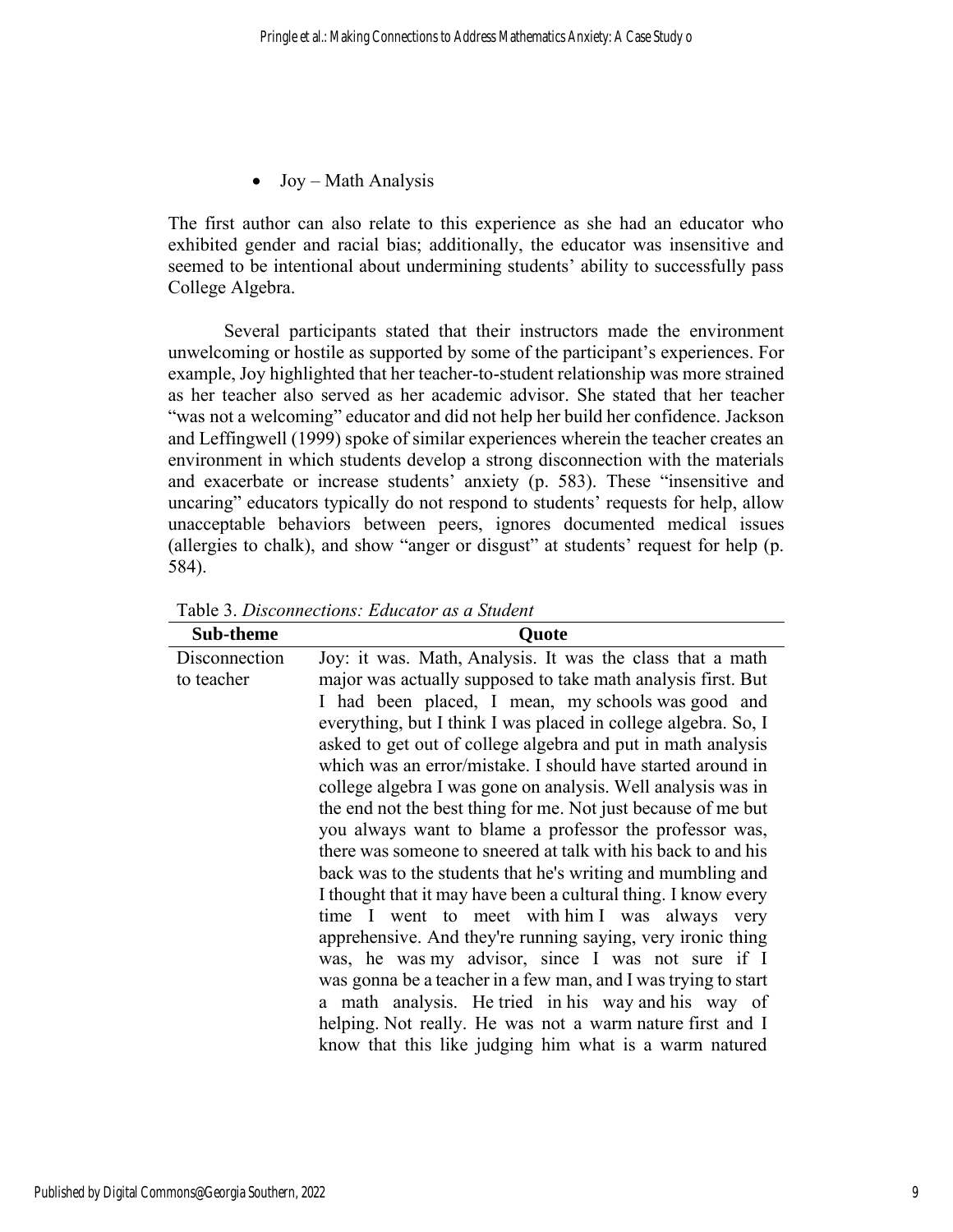• Joy – Math Analysis

The first author can also relate to this experience as she had an educator who exhibited gender and racial bias; additionally, the educator was insensitive and seemed to be intentional about undermining students' ability to successfully pass College Algebra.

Several participants stated that their instructors made the environment unwelcoming or hostile as supported by some of the participant's experiences. For example, Joy highlighted that her teacher-to-student relationship was more strained as her teacher also served as her academic advisor. She stated that her teacher "was not a welcoming" educator and did not help her build her confidence. Jackson and Leffingwell (1999) spoke of similar experiences wherein the teacher creates an environment in which students develop a strong disconnection with the materials and exacerbate or increase students' anxiety (p. 583). These "insensitive and uncaring" educators typically do not respond to students' requests for help, allow unacceptable behaviors between peers, ignores documented medical issues (allergies to chalk), and show "anger or disgust" at students' request for help (p. 584).

| Sub-theme     | <b>Quote</b>                                                   |
|---------------|----------------------------------------------------------------|
| Disconnection | Joy: it was. Math, Analysis. It was the class that a math      |
| to teacher    | major was actually supposed to take math analysis first. But   |
|               | I had been placed, I mean, my schools was good and             |
|               | everything, but I think I was placed in college algebra. So, I |
|               | asked to get out of college algebra and put in math analysis   |
|               | which was an error/mistake. I should have started around in    |
|               | college algebra I was gone on analysis. Well analysis was in   |
|               | the end not the best thing for me. Not just because of me but  |
|               | you always want to blame a professor the professor was,        |
|               | there was someone to sneered at talk with his back to and his  |
|               | back was to the students that he's writing and mumbling and    |
|               | I thought that it may have been a cultural thing. I know every |
|               | time I went to meet with him I was always very                 |
|               | apprehensive. And they're running saying, very ironic thing    |
|               | was, he was my advisor, since I was not sure if I              |
|               | was gonna be a teacher in a few man, and I was trying to start |
|               | a math analysis. He tried in his way and his way of            |
|               | helping. Not really. He was not a warm nature first and I      |
|               | know that this like judging him what is a warm natured         |

Table 3. *Disconnections: Educator as a Student*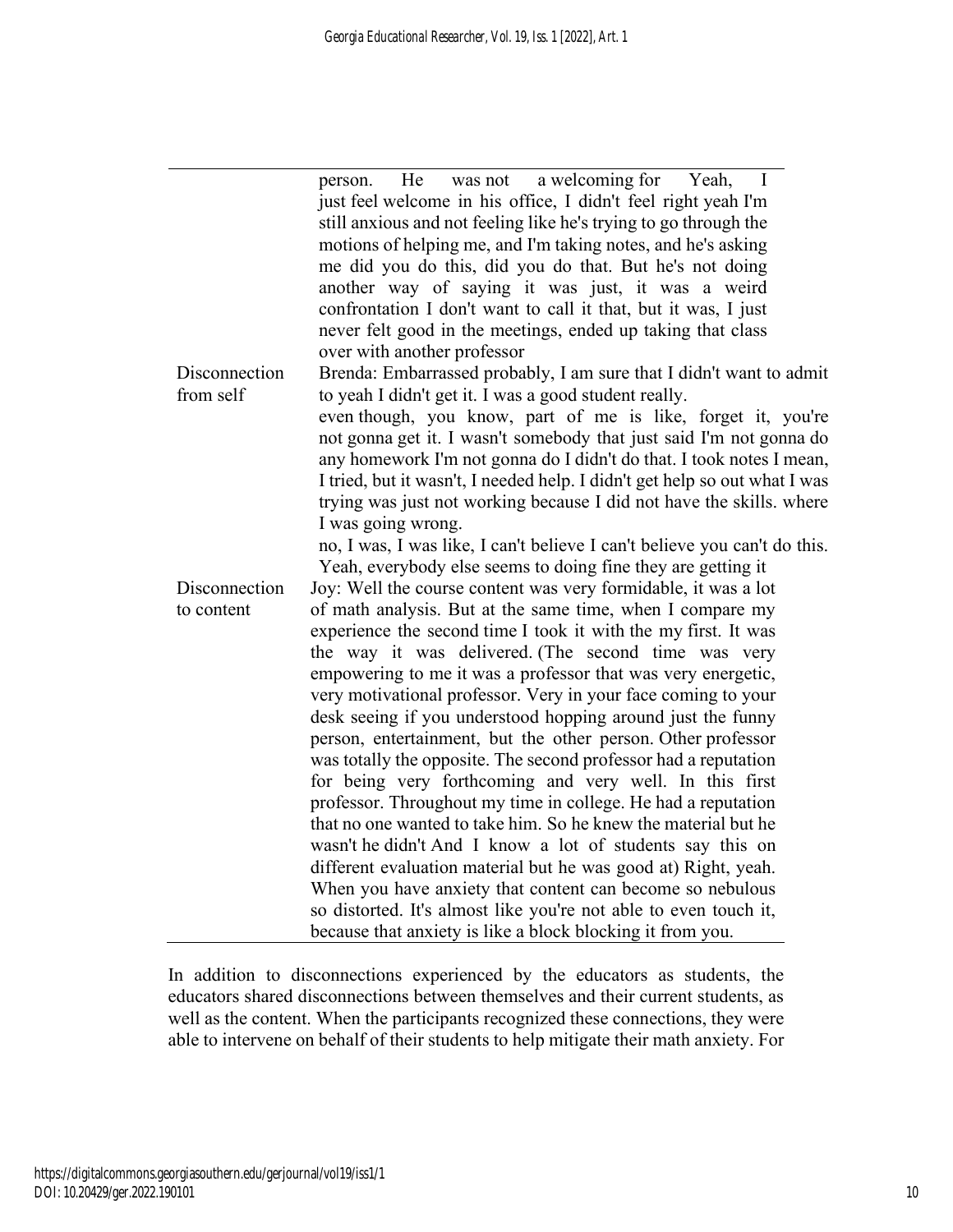| person.       | was not a welcoming for Yeah,<br>He<br>$\sim$                              |
|---------------|----------------------------------------------------------------------------|
|               | just feel welcome in his office, I didn't feel right yeah I'm              |
|               | still anxious and not feeling like he's trying to go through the           |
|               | motions of helping me, and I'm taking notes, and he's asking               |
|               | me did you do this, did you do that. But he's not doing                    |
|               | another way of saying it was just, it was a weird                          |
|               | confrontation I don't want to call it that, but it was, I just             |
|               | never felt good in the meetings, ended up taking that class                |
|               | over with another professor                                                |
| Disconnection | Brenda: Embarrassed probably, I am sure that I didn't want to admit        |
| from self     | to yeah I didn't get it. I was a good student really.                      |
|               | even though, you know, part of me is like, forget it, you're               |
|               |                                                                            |
|               | not gonna get it. I wasn't somebody that just said I'm not gonna do        |
|               | any homework I'm not gonna do I didn't do that. I took notes I mean,       |
|               | I tried, but it wasn't, I needed help. I didn't get help so out what I was |
|               | trying was just not working because I did not have the skills. where       |
|               | I was going wrong.                                                         |
|               | no, I was, I was like, I can't believe I can't believe you can't do this.  |
|               | Yeah, everybody else seems to doing fine they are getting it               |
| Disconnection | Joy: Well the course content was very formidable, it was a lot             |
| to content    | of math analysis. But at the same time, when I compare my                  |
|               | experience the second time I took it with the my first. It was             |
|               | the way it was delivered. (The second time was very                        |
|               | empowering to me it was a professor that was very energetic,               |
|               | very motivational professor. Very in your face coming to your              |
|               | desk seeing if you understood hopping around just the funny                |
|               | person, entertainment, but the other person. Other professor               |
|               | was totally the opposite. The second professor had a reputation            |
|               | for being very forthcoming and very well. In this first                    |
|               | professor. Throughout my time in college. He had a reputation              |
|               | that no one wanted to take him. So he knew the material but he             |
|               | wasn't he didn't And I know a lot of students say this on                  |
|               | different evaluation material but he was good at) Right, yeah.             |
|               | When you have anxiety that content can become so nebulous                  |
|               | so distorted. It's almost like you're not able to even touch it,           |
|               | because that anxiety is like a block blocking it from you.                 |

In addition to disconnections experienced by the educators as students, the educators shared disconnections between themselves and their current students, as well as the content. When the participants recognized these connections, they were able to intervene on behalf of their students to help mitigate their math anxiety. For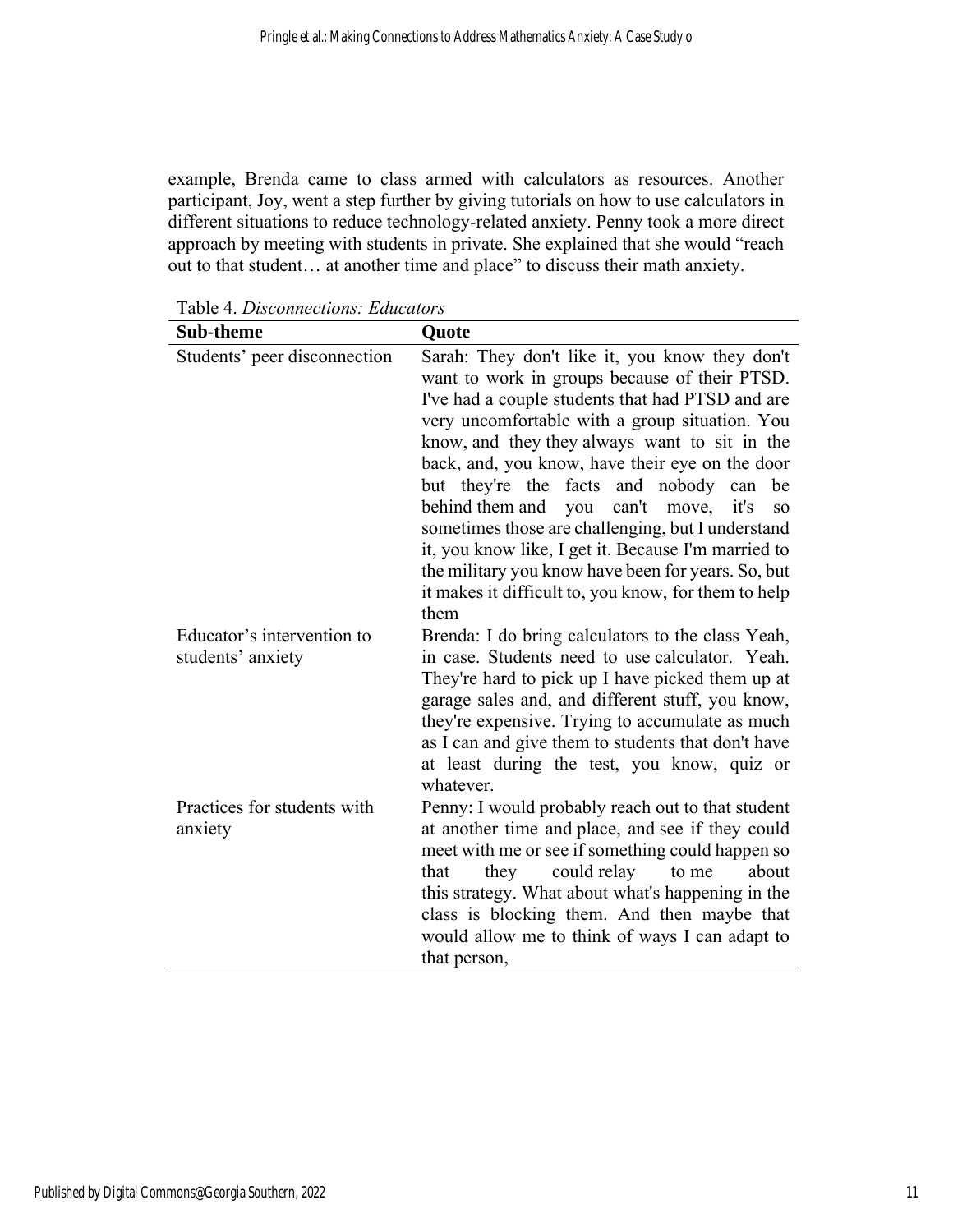example, Brenda came to class armed with calculators as resources. Another participant, Joy, went a step further by giving tutorials on how to use calculators in different situations to reduce technology-related anxiety. Penny took a more direct approach by meeting with students in private. She explained that she would "reach out to that student… at another time and place" to discuss their math anxiety.

| <b>Sub-theme</b>                                | Quote                                                                                                                                                                                                                                                                                                                                                                                                                                                                                                                                                                                                                                                   |  |  |  |  |
|-------------------------------------------------|---------------------------------------------------------------------------------------------------------------------------------------------------------------------------------------------------------------------------------------------------------------------------------------------------------------------------------------------------------------------------------------------------------------------------------------------------------------------------------------------------------------------------------------------------------------------------------------------------------------------------------------------------------|--|--|--|--|
| Students' peer disconnection                    | Sarah: They don't like it, you know they don't<br>want to work in groups because of their PTSD.<br>I've had a couple students that had PTSD and are<br>very uncomfortable with a group situation. You<br>know, and they they always want to sit in the<br>back, and, you know, have their eye on the door<br>but they're the facts and nobody can<br>be<br>behind them and<br>can't move,<br>you<br>it's<br><b>SO</b><br>sometimes those are challenging, but I understand<br>it, you know like, I get it. Because I'm married to<br>the military you know have been for years. So, but<br>it makes it difficult to, you know, for them to help<br>them |  |  |  |  |
| Educator's intervention to<br>students' anxiety | Brenda: I do bring calculators to the class Yeah,<br>in case. Students need to use calculator. Yeah.<br>They're hard to pick up I have picked them up at<br>garage sales and, and different stuff, you know,<br>they're expensive. Trying to accumulate as much<br>as I can and give them to students that don't have<br>at least during the test, you know, quiz or<br>whatever.                                                                                                                                                                                                                                                                       |  |  |  |  |
| Practices for students with<br>anxiety          | Penny: I would probably reach out to that student<br>at another time and place, and see if they could<br>meet with me or see if something could happen so<br>could relay<br>they<br>about<br>that<br>to me<br>this strategy. What about what's happening in the<br>class is blocking them. And then maybe that<br>would allow me to think of ways I can adapt to<br>that person,                                                                                                                                                                                                                                                                        |  |  |  |  |

Table 4. *Disconnections: Educators*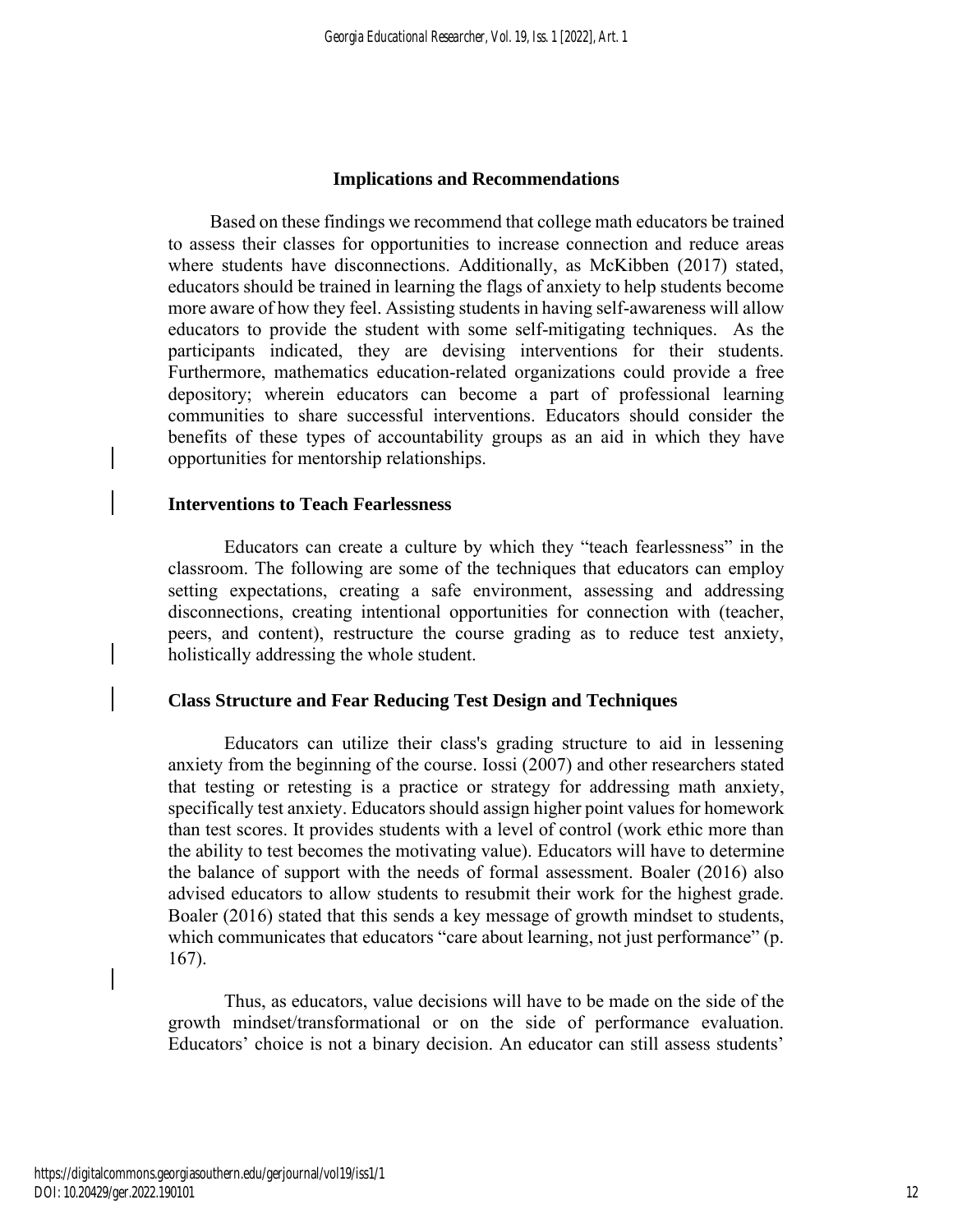#### **Implications and Recommendations**

Based on these findings we recommend that college math educators be trained to assess their classes for opportunities to increase connection and reduce areas where students have disconnections. Additionally, as McKibben (2017) stated, educators should be trained in learning the flags of anxiety to help students become more aware of how they feel. Assisting students in having self-awareness will allow educators to provide the student with some self-mitigating techniques. As the participants indicated, they are devising interventions for their students. Furthermore, mathematics education-related organizations could provide a free depository; wherein educators can become a part of professional learning communities to share successful interventions. Educators should consider the benefits of these types of accountability groups as an aid in which they have opportunities for mentorship relationships.

#### **Interventions to Teach Fearlessness**

Educators can create a culture by which they "teach fearlessness" in the classroom. The following are some of the techniques that educators can employ setting expectations, creating a safe environment, assessing and addressing disconnections, creating intentional opportunities for connection with (teacher, peers, and content), restructure the course grading as to reduce test anxiety, holistically addressing the whole student.

#### **Class Structure and Fear Reducing Test Design and Techniques**

Educators can utilize their class's grading structure to aid in lessening anxiety from the beginning of the course. Iossi (2007) and other researchers stated that testing or retesting is a practice or strategy for addressing math anxiety, specifically test anxiety. Educators should assign higher point values for homework than test scores. It provides students with a level of control (work ethic more than the ability to test becomes the motivating value). Educators will have to determine the balance of support with the needs of formal assessment. Boaler (2016) also advised educators to allow students to resubmit their work for the highest grade. Boaler (2016) stated that this sends a key message of growth mindset to students, which communicates that educators "care about learning, not just performance" (p. 167).

Thus, as educators, value decisions will have to be made on the side of the growth mindset/transformational or on the side of performance evaluation. Educators' choice is not a binary decision. An educator can still assess students'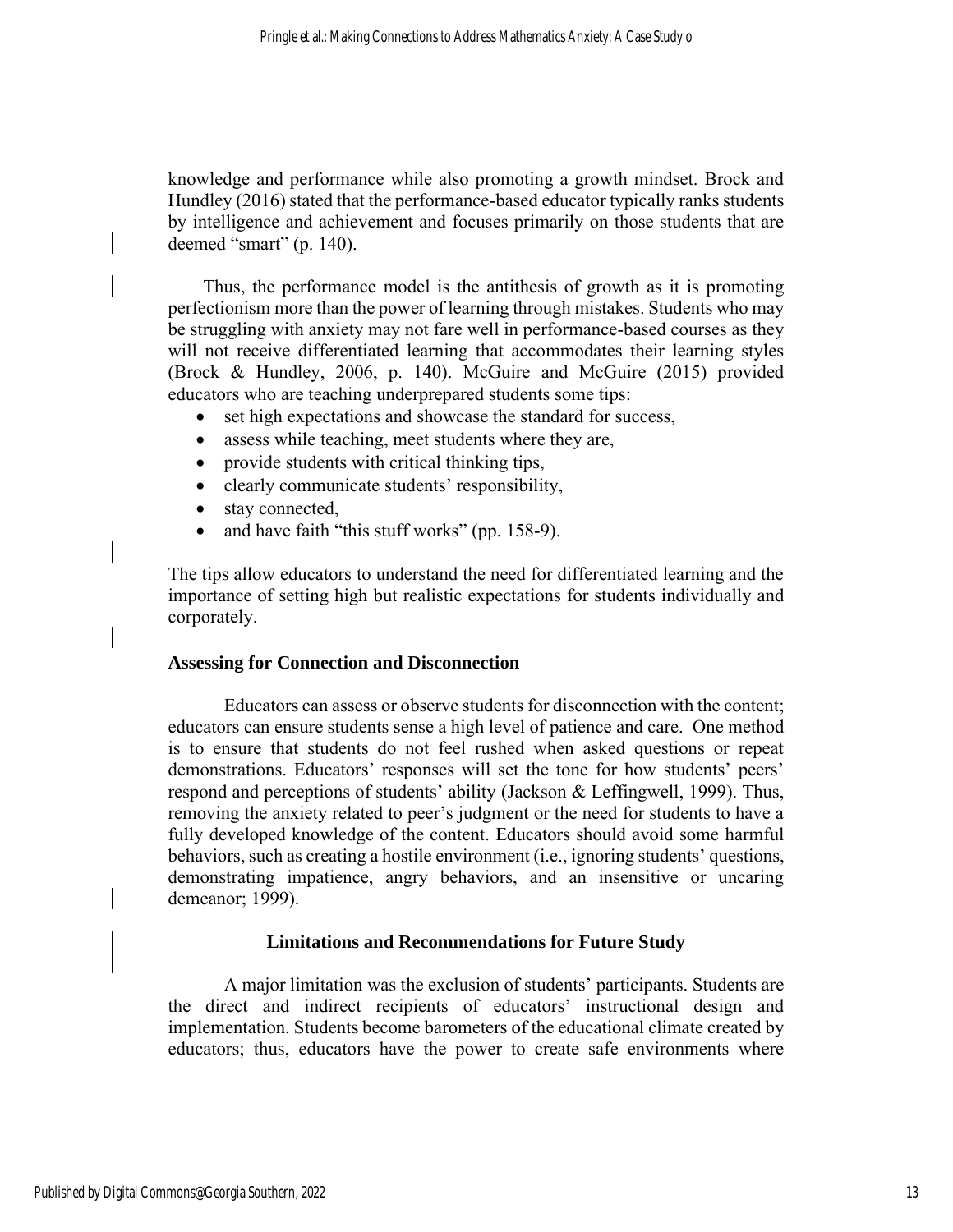knowledge and performance while also promoting a growth mindset. Brock and Hundley (2016) stated that the performance-based educator typically ranks students by intelligence and achievement and focuses primarily on those students that are deemed "smart" (p. 140).

Thus, the performance model is the antithesis of growth as it is promoting perfectionism more than the power of learning through mistakes. Students who may be struggling with anxiety may not fare well in performance-based courses as they will not receive differentiated learning that accommodates their learning styles (Brock & Hundley, 2006, p. 140). McGuire and McGuire (2015) provided educators who are teaching underprepared students some tips:

- set high expectations and showcase the standard for success,
- assess while teaching, meet students where they are,
- provide students with critical thinking tips,
- clearly communicate students' responsibility,
- stay connected,
- and have faith "this stuff works" (pp. 158-9).

The tips allow educators to understand the need for differentiated learning and the importance of setting high but realistic expectations for students individually and corporately.

#### **Assessing for Connection and Disconnection**

Educators can assess or observe students for disconnection with the content; educators can ensure students sense a high level of patience and care. One method is to ensure that students do not feel rushed when asked questions or repeat demonstrations. Educators' responses will set the tone for how students' peers' respond and perceptions of students' ability (Jackson & Leffingwell, 1999). Thus, removing the anxiety related to peer's judgment or the need for students to have a fully developed knowledge of the content. Educators should avoid some harmful behaviors, such as creating a hostile environment (i.e., ignoring students' questions, demonstrating impatience, angry behaviors, and an insensitive or uncaring demeanor; 1999).

#### **Limitations and Recommendations for Future Study**

A major limitation was the exclusion of students' participants. Students are the direct and indirect recipients of educators' instructional design and implementation. Students become barometers of the educational climate created by educators; thus, educators have the power to create safe environments where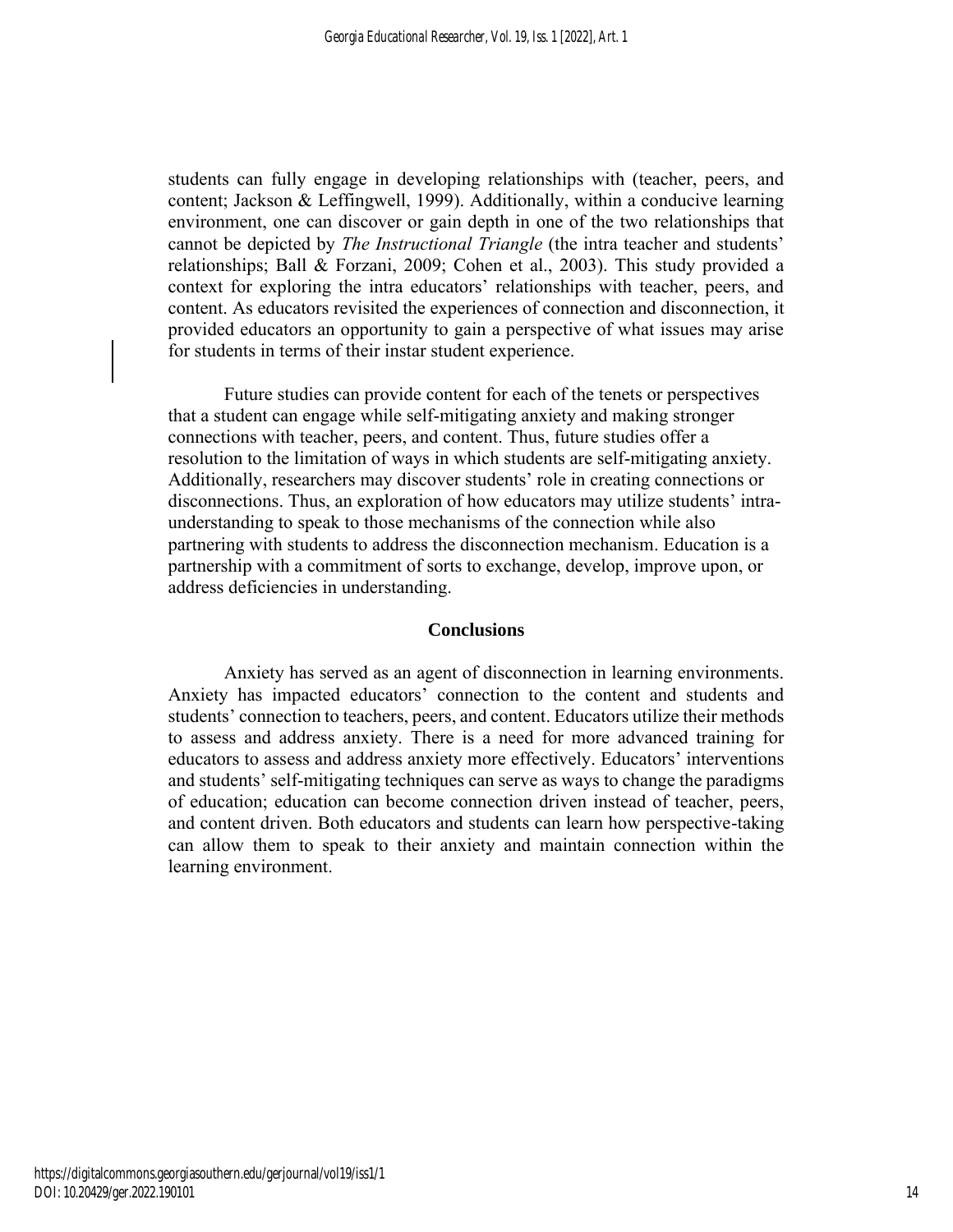students can fully engage in developing relationships with (teacher, peers, and content; Jackson & Leffingwell, 1999). Additionally, within a conducive learning environment, one can discover or gain depth in one of the two relationships that cannot be depicted by *The Instructional Triangle* (the intra teacher and students' relationships; Ball & Forzani, 2009; Cohen et al., 2003). This study provided a context for exploring the intra educators' relationships with teacher, peers, and content. As educators revisited the experiences of connection and disconnection, it provided educators an opportunity to gain a perspective of what issues may arise for students in terms of their instar student experience.

Future studies can provide content for each of the tenets or perspectives that a student can engage while self-mitigating anxiety and making stronger connections with teacher, peers, and content. Thus, future studies offer a resolution to the limitation of ways in which students are self-mitigating anxiety. Additionally, researchers may discover students' role in creating connections or disconnections. Thus, an exploration of how educators may utilize students' intraunderstanding to speak to those mechanisms of the connection while also partnering with students to address the disconnection mechanism. Education is a partnership with a commitment of sorts to exchange, develop, improve upon, or address deficiencies in understanding.

#### **Conclusions**

Anxiety has served as an agent of disconnection in learning environments. Anxiety has impacted educators' connection to the content and students and students' connection to teachers, peers, and content. Educators utilize their methods to assess and address anxiety. There is a need for more advanced training for educators to assess and address anxiety more effectively. Educators' interventions and students' self-mitigating techniques can serve as ways to change the paradigms of education; education can become connection driven instead of teacher, peers, and content driven. Both educators and students can learn how perspective-taking can allow them to speak to their anxiety and maintain connection within the learning environment.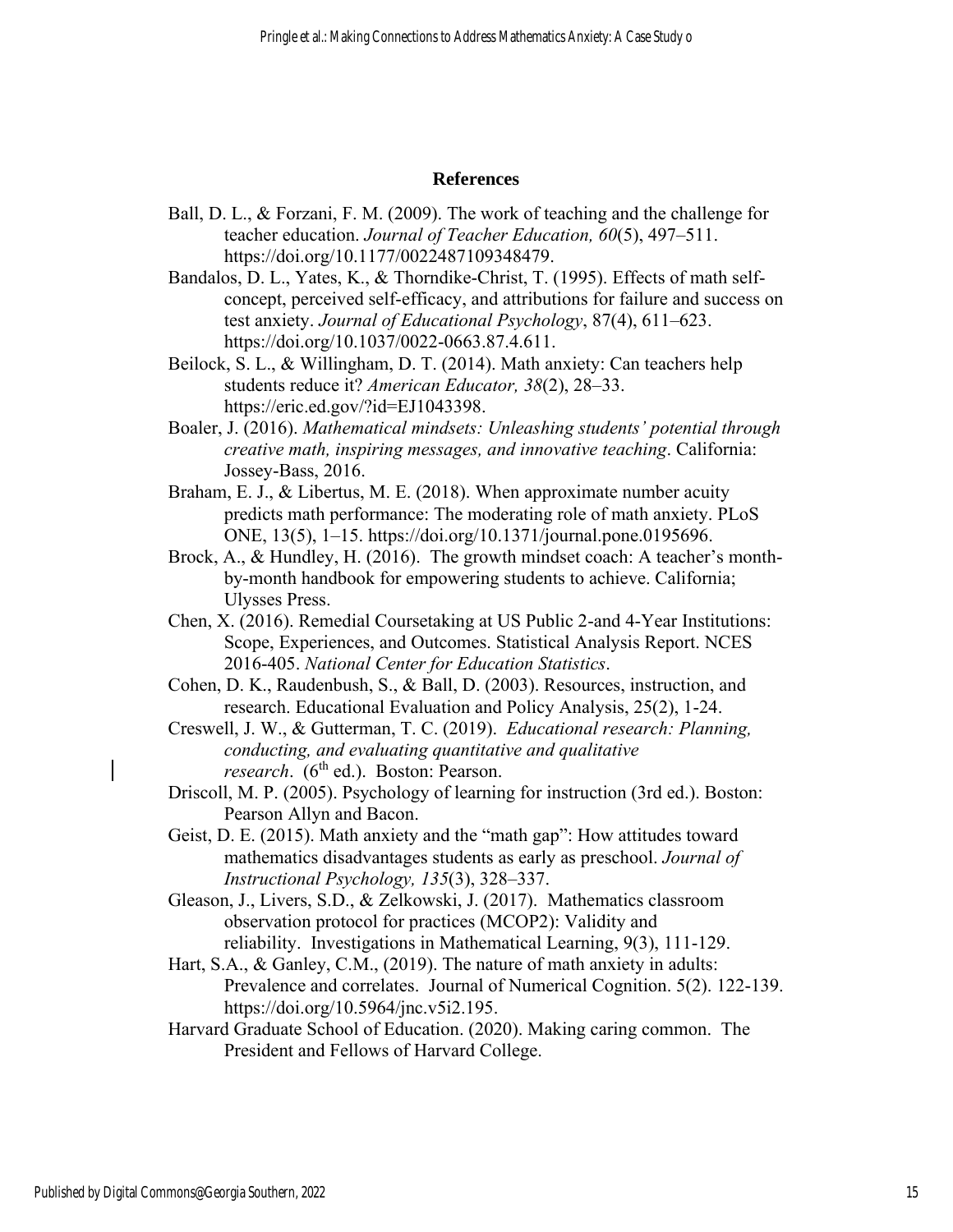#### **References**

- Ball, D. L., & Forzani, F. M. (2009). The work of teaching and the challenge for teacher education. *Journal of Teacher Education, 60*(5), 497–511. https://doi.org/10.1177/0022487109348479.
- Bandalos, D. L., Yates, K., & Thorndike-Christ, T. (1995). Effects of math selfconcept, perceived self-efficacy, and attributions for failure and success on test anxiety. *Journal of Educational Psychology*, 87(4), 611–623. https://doi.org/10.1037/0022-0663.87.4.611.
- Beilock, S. L., & Willingham, D. T. (2014). Math anxiety: Can teachers help students reduce it? *American Educator, 38*(2), 28–33. https://eric.ed.gov/?id=EJ1043398.
- Boaler, J. (2016). *Mathematical mindsets: Unleashing students' potential through creative math, inspiring messages, and innovative teaching*. California: Jossey-Bass, 2016.
- Braham, E. J., & Libertus, M. E. (2018). When approximate number acuity predicts math performance: The moderating role of math anxiety. PLoS ONE, 13(5), 1–15. https://doi.org/10.1371/journal.pone.0195696.
- Brock, A., & Hundley, H. (2016). The growth mindset coach: A teacher's monthby-month handbook for empowering students to achieve. California; Ulysses Press.
- Chen, X. (2016). Remedial Coursetaking at US Public 2-and 4-Year Institutions: Scope, Experiences, and Outcomes. Statistical Analysis Report. NCES 2016-405. *National Center for Education Statistics*.
- Cohen, D. K., Raudenbush, S., & Ball, D. (2003). Resources, instruction, and research. Educational Evaluation and Policy Analysis, 25(2), 1-24.
- Creswell, J. W., & Gutterman, T. C. (2019). *Educational research: Planning, conducting, and evaluating quantitative and qualitative research.* (6<sup>th</sup> ed.). Boston: Pearson.
- Driscoll, M. P. (2005). Psychology of learning for instruction (3rd ed.). Boston: Pearson Allyn and Bacon.
- Geist, D. E. (2015). Math anxiety and the "math gap": How attitudes toward mathematics disadvantages students as early as preschool. *Journal of Instructional Psychology, 135*(3), 328–337.
- Gleason, J., Livers, S.D., & Zelkowski, J. (2017). Mathematics classroom observation protocol for practices (MCOP2): Validity and reliability. Investigations in Mathematical Learning, 9(3), 111-129.
- Hart, S.A., & Ganley, C.M., (2019). The nature of math anxiety in adults: Prevalence and correlates. Journal of Numerical Cognition. 5(2). 122-139. https://doi.org/10.5964/jnc.v5i2.195.
- Harvard Graduate School of Education. (2020). Making caring common. The President and Fellows of Harvard College.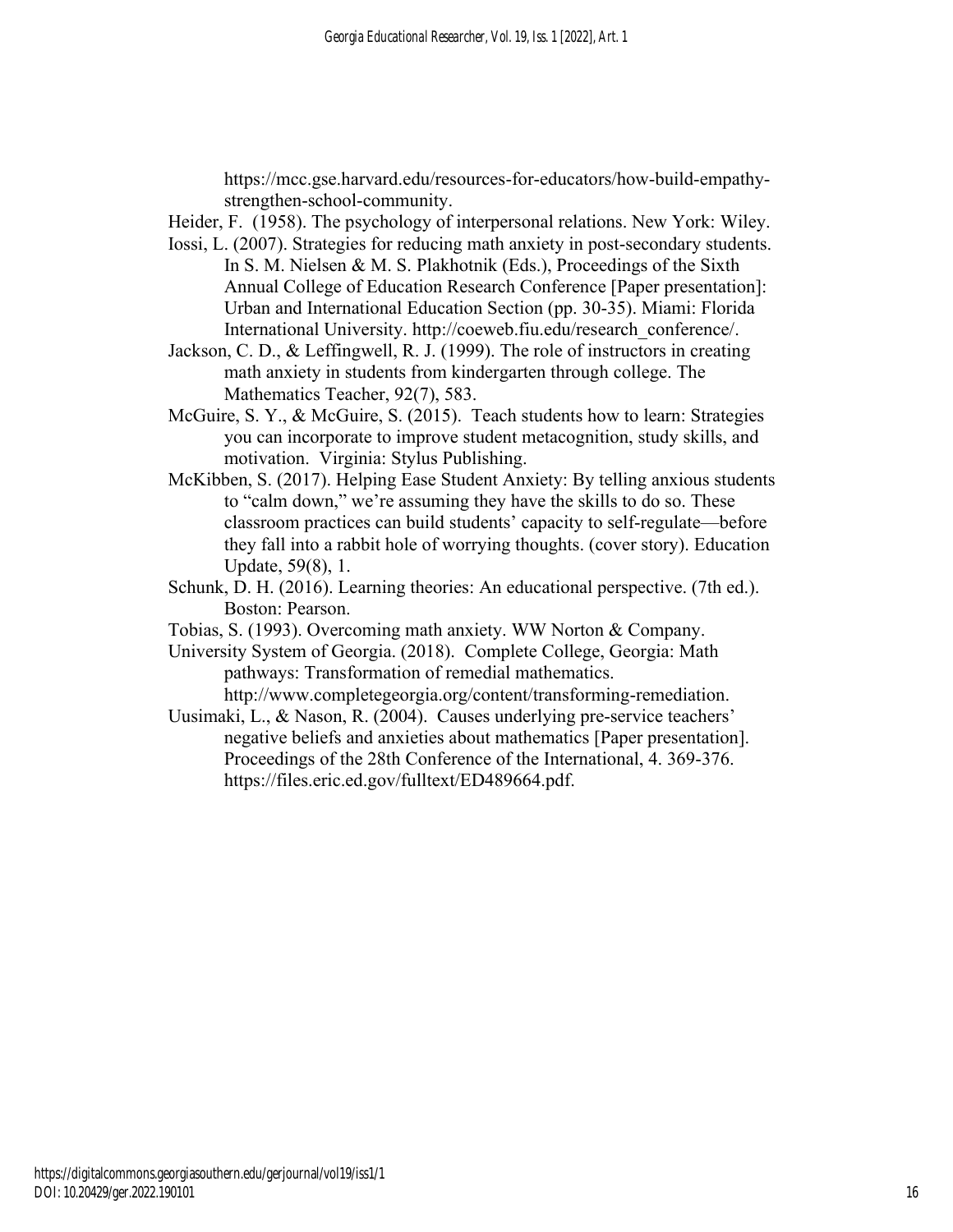https://mcc.gse.harvard.edu/resources-for-educators/how-build-empathystrengthen-school-community.

- Heider, F. (1958). The psychology of interpersonal relations. New York: Wiley.
- Iossi, L. (2007). Strategies for reducing math anxiety in post-secondary students. In S. M. Nielsen & M. S. Plakhotnik (Eds.), Proceedings of the Sixth Annual College of Education Research Conference [Paper presentation]: Urban and International Education Section (pp. 30-35). Miami: Florida International University. http://coeweb.fiu.edu/research\_conference/.
- Jackson, C. D., & Leffingwell, R. J. (1999). The role of instructors in creating math anxiety in students from kindergarten through college. The Mathematics Teacher, 92(7), 583.
- McGuire, S. Y., & McGuire, S. (2015). Teach students how to learn: Strategies you can incorporate to improve student metacognition, study skills, and motivation. Virginia: Stylus Publishing.
- McKibben, S. (2017). Helping Ease Student Anxiety: By telling anxious students to "calm down," we're assuming they have the skills to do so. These classroom practices can build students' capacity to self-regulate—before they fall into a rabbit hole of worrying thoughts. (cover story). Education Update, 59(8), 1.
- Schunk, D. H. (2016). Learning theories: An educational perspective. (7th ed.). Boston: Pearson.
- Tobias, S. (1993). Overcoming math anxiety. WW Norton & Company.
- University System of Georgia. (2018). Complete College, Georgia: Math pathways: Transformation of remedial mathematics. http://www.completegeorgia.org/content/transforming-remediation.
- Uusimaki, L., & Nason, R. (2004). Causes underlying pre-service teachers' negative beliefs and anxieties about mathematics [Paper presentation]. Proceedings of the 28th Conference of the International, 4. 369-376. https://files.eric.ed.gov/fulltext/ED489664.pdf.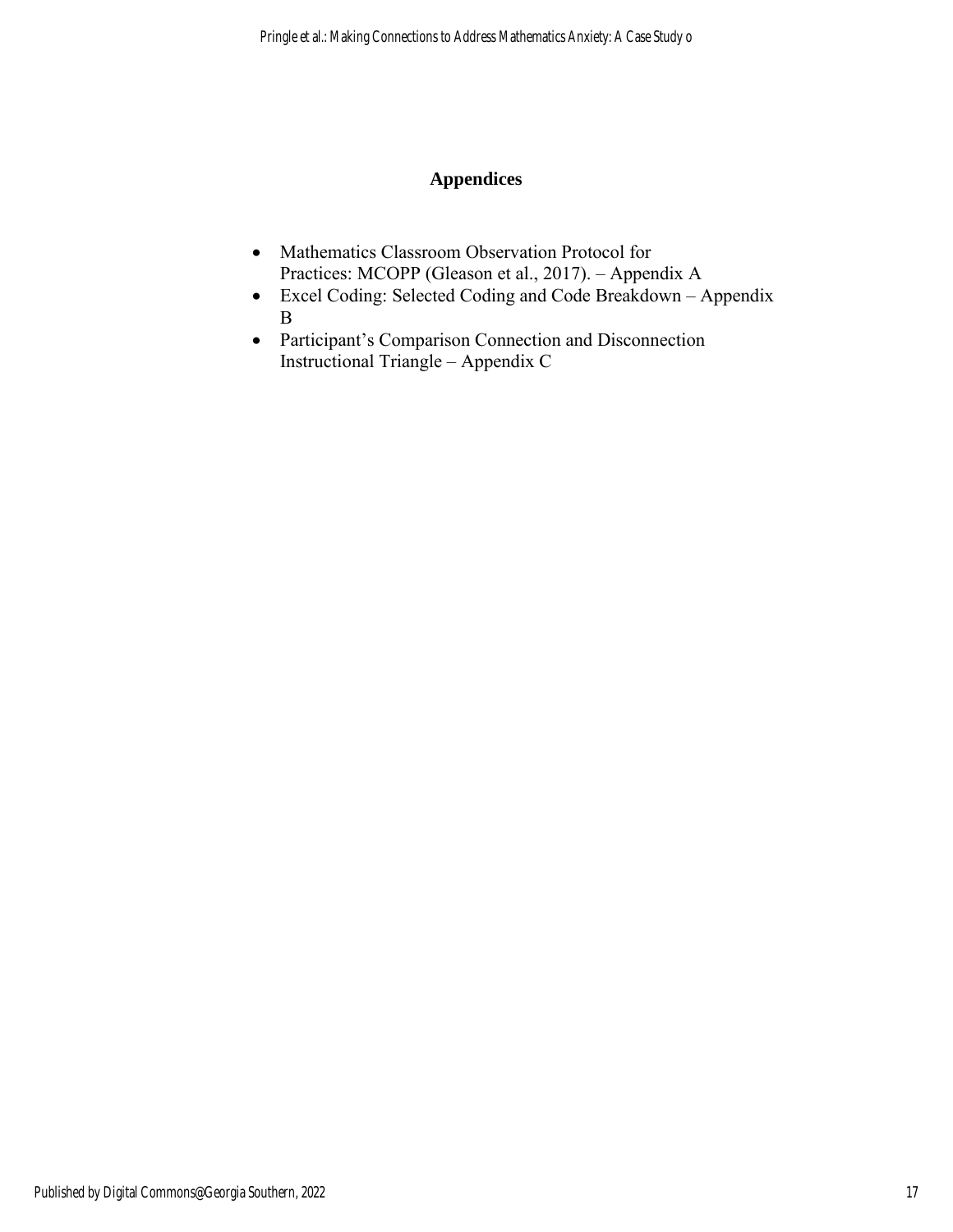# **Appendices**

- Mathematics Classroom Observation Protocol for Practices: MCOPP (Gleason et al., 2017). – Appendix A
- Excel Coding: Selected Coding and Code Breakdown Appendix B
- Participant's Comparison Connection and Disconnection Instructional Triangle – Appendix C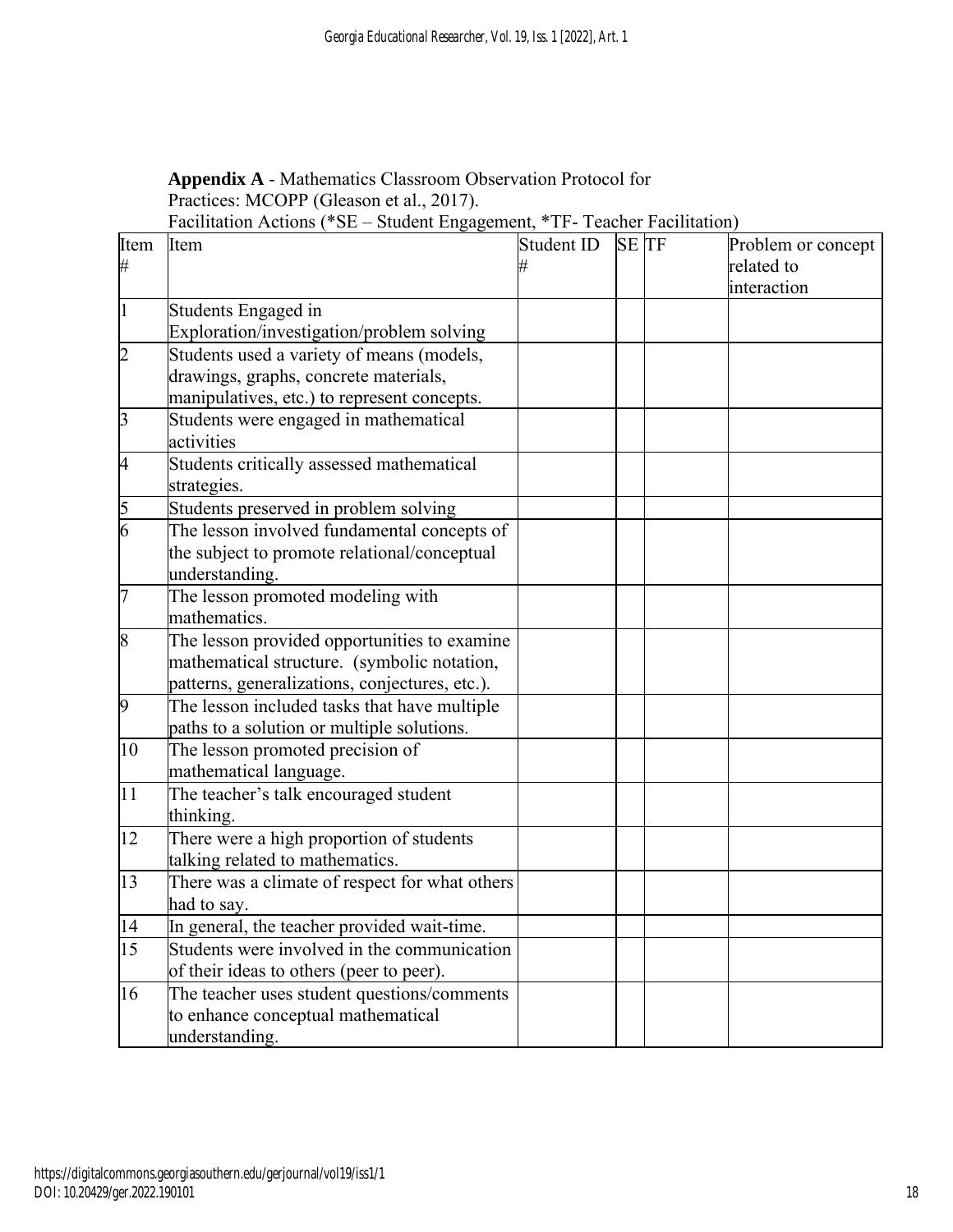| Appendix A - Mathematics Classroom Observation Protocol for |  |  |
|-------------------------------------------------------------|--|--|
| Practices: MCOPP (Gleason et al., 2017).                    |  |  |
|                                                             |  |  |

Facilitation Actions (\*SE – Student Engagement, \*TF- Teacher Facilitation)

| Item            | Item                                           | Student ID | <b>SETF</b> | Problem or concept |
|-----------------|------------------------------------------------|------------|-------------|--------------------|
| #               |                                                |            |             | related to         |
|                 |                                                |            |             | interaction        |
| 1               | Students Engaged in                            |            |             |                    |
|                 | Exploration/investigation/problem solving      |            |             |                    |
| $\overline{2}$  | Students used a variety of means (models,      |            |             |                    |
|                 | drawings, graphs, concrete materials,          |            |             |                    |
|                 | manipulatives, etc.) to represent concepts.    |            |             |                    |
| $\overline{3}$  | Students were engaged in mathematical          |            |             |                    |
|                 | activities                                     |            |             |                    |
| $\overline{4}$  | Students critically assessed mathematical      |            |             |                    |
|                 | strategies.                                    |            |             |                    |
| $rac{5}{6}$     | Students preserved in problem solving          |            |             |                    |
|                 | The lesson involved fundamental concepts of    |            |             |                    |
|                 | the subject to promote relational/conceptual   |            |             |                    |
|                 | understanding.                                 |            |             |                    |
| 7               | The lesson promoted modeling with              |            |             |                    |
|                 | mathematics.                                   |            |             |                    |
| 8               | The lesson provided opportunities to examine   |            |             |                    |
|                 | mathematical structure. (symbolic notation,    |            |             |                    |
|                 | patterns, generalizations, conjectures, etc.). |            |             |                    |
| $\overline{9}$  | The lesson included tasks that have multiple   |            |             |                    |
|                 | paths to a solution or multiple solutions.     |            |             |                    |
| 10              | The lesson promoted precision of               |            |             |                    |
|                 | mathematical language.                         |            |             |                    |
| 11              | The teacher's talk encouraged student          |            |             |                    |
|                 | thinking.                                      |            |             |                    |
| 12              | There were a high proportion of students       |            |             |                    |
|                 | talking related to mathematics.                |            |             |                    |
| 13              | There was a climate of respect for what others |            |             |                    |
|                 | had to say.                                    |            |             |                    |
| 14              | In general, the teacher provided wait-time.    |            |             |                    |
| $\overline{15}$ | Students were involved in the communication    |            |             |                    |
|                 | of their ideas to others (peer to peer).       |            |             |                    |
| 16              | The teacher uses student questions/comments    |            |             |                    |
|                 | to enhance conceptual mathematical             |            |             |                    |
|                 | understanding.                                 |            |             |                    |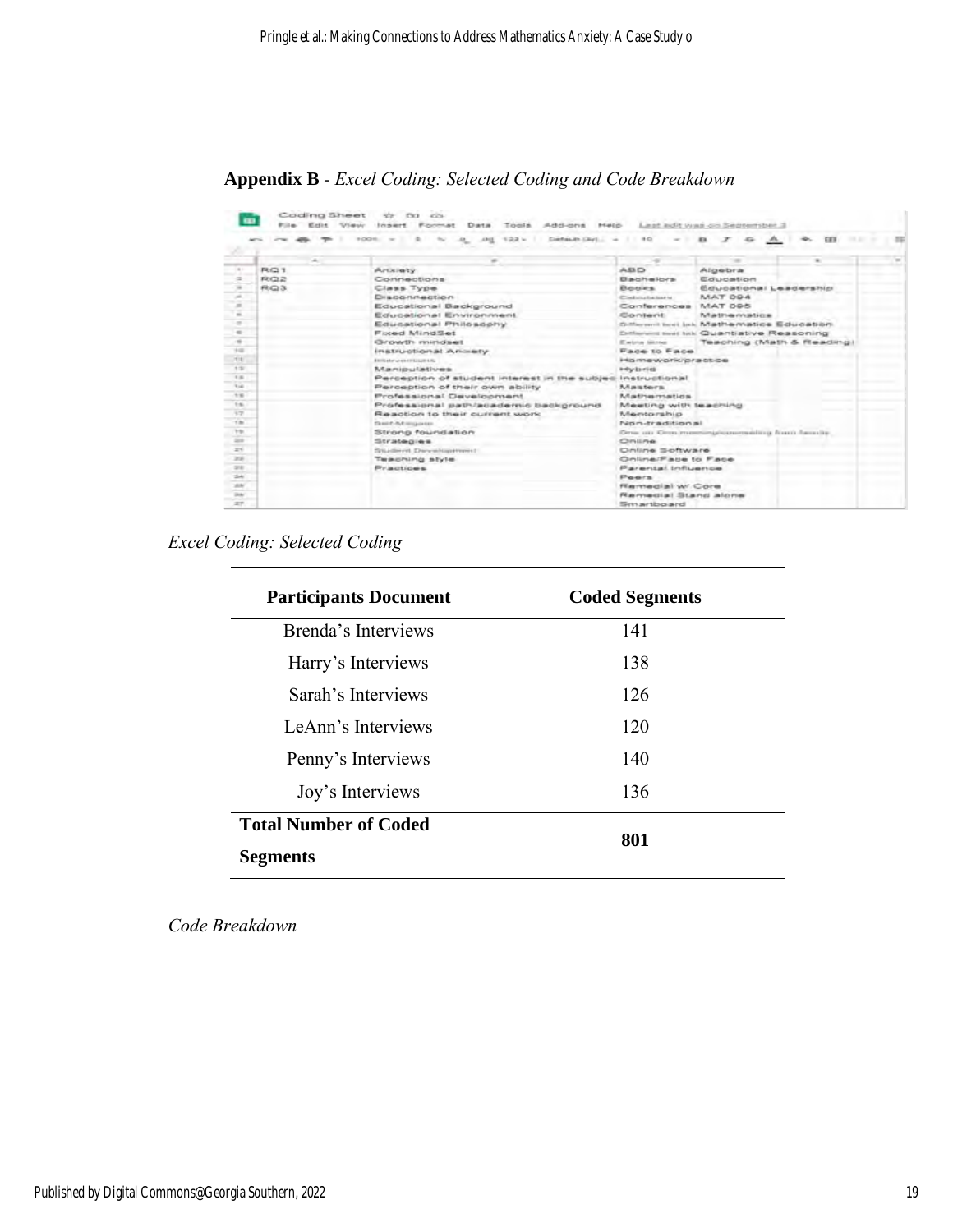**Appendix B** *- Excel Coding: Selected Coding and Code Breakdown* 

|                                                                                                |            | .0 .00 122 = Default Def = =<br>$+00%$ =<br><b><i><u>DOM: NO</u></i></b><br>$\sim$ | $-90$<br><b>Section</b> | 49.1                                                | $A_1$<br><b>FEE</b>       |  |
|------------------------------------------------------------------------------------------------|------------|------------------------------------------------------------------------------------|-------------------------|-----------------------------------------------------|---------------------------|--|
|                                                                                                |            |                                                                                    |                         |                                                     |                           |  |
|                                                                                                |            |                                                                                    |                         |                                                     |                           |  |
|                                                                                                | <b>RG1</b> | Article by                                                                         | $0.53 - 0.00$           | Algebra                                             |                           |  |
|                                                                                                | 株式会        | Connections                                                                        | <b>Bachalors</b>        | Education                                           |                           |  |
| $-$                                                                                            | RO3        | Class Type                                                                         | <b>Beeres</b>           | Educational Leadership                              |                           |  |
| --<br>$\sim$                                                                                   |            | Disponsection                                                                      | Containstantial and     | MAT 094                                             |                           |  |
|                                                                                                |            | Educational Background                                                             | Conferences MAT 095     |                                                     |                           |  |
| $\overline{a}$                                                                                 |            | Educational Environment                                                            | Content                 | Matharmatica                                        |                           |  |
| $\frac{1}{2} \left( \frac{1}{2} \right) \left( \frac{1}{2} \right) \left( \frac{1}{2} \right)$ |            | Educational Philosophy                                                             |                         | Officerant boot lock Mathematics Education          |                           |  |
| $\frac{1}{2}$<br>$\sim$                                                                        |            | <b>Fixed MindSet</b>                                                               |                         | <b>Collection limit list: Quantiative Ressoning</b> |                           |  |
| 14                                                                                             |            | Growth mindset                                                                     | Eatra litra             |                                                     | Teaching (Math & Reading) |  |
| TE.                                                                                            |            | instructional Ammety                                                               | <b>Face to Face</b>     |                                                     |                           |  |
| $+2$                                                                                           |            | ENVIRONMENT STATE AND                                                              | Homework/practice       |                                                     |                           |  |
| $+ 16.55$                                                                                      |            | Manipulatives.                                                                     | <b>Hybrid</b>           |                                                     |                           |  |
| Total I                                                                                        |            | Perception of student interest in the subject                                      | Instructional           |                                                     |                           |  |
| $+46.$                                                                                         |            | Perception of their own ability                                                    | <b>Maisters</b>         |                                                     |                           |  |
| the con-                                                                                       |            | Professional Development                                                           | <b>Mathesonation</b>    |                                                     |                           |  |
|                                                                                                |            | Professional path/academic background                                              | Meeting with leadning   |                                                     |                           |  |
| 97                                                                                             |            | Readton to their current work                                                      | Meritorahio             |                                                     |                           |  |
| 1BC                                                                                            |            | Smith-NA importer                                                                  | Non-tradition all       |                                                     |                           |  |
| <b>VSI</b>                                                                                     |            | Strong foundation                                                                  |                         | One an Orra material convenient from hereity.       |                           |  |
| $\frac{1}{2}$                                                                                  |            | Strategies.                                                                        | ONLINE                  |                                                     |                           |  |
| 206                                                                                            |            | Situatevet Decembrateverett                                                        | Online Software         |                                                     |                           |  |
| <b>SEAR</b>                                                                                    |            | Teaching style                                                                     | Online/Face to Face     |                                                     |                           |  |
| <b>SHE</b>                                                                                     |            | <b>Practices</b>                                                                   | Parental Influence      |                                                     |                           |  |
| <b>Sheet</b>                                                                                   |            |                                                                                    | Poers                   |                                                     |                           |  |
| <b>SERV</b>                                                                                    |            |                                                                                    | Remartial w/. Core      |                                                     |                           |  |
| 244                                                                                            |            |                                                                                    | Remedial Stand alone    |                                                     |                           |  |
| <b>IF</b>                                                                                      |            |                                                                                    | Smartboard              |                                                     |                           |  |

*Excel Coding: Selected Coding* 

| <b>Participants Document</b> | <b>Coded Segments</b> |
|------------------------------|-----------------------|
| Brenda's Interviews          | 141                   |
| Harry's Interviews           | 138                   |
| Sarah's Interviews           | 126                   |
| LeAnn's Interviews           | 120                   |
| Penny's Interviews           | 140                   |
| Joy's Interviews             | 136                   |
| <b>Total Number of Coded</b> | 801                   |
| <b>Segments</b>              |                       |

*Code Breakdown*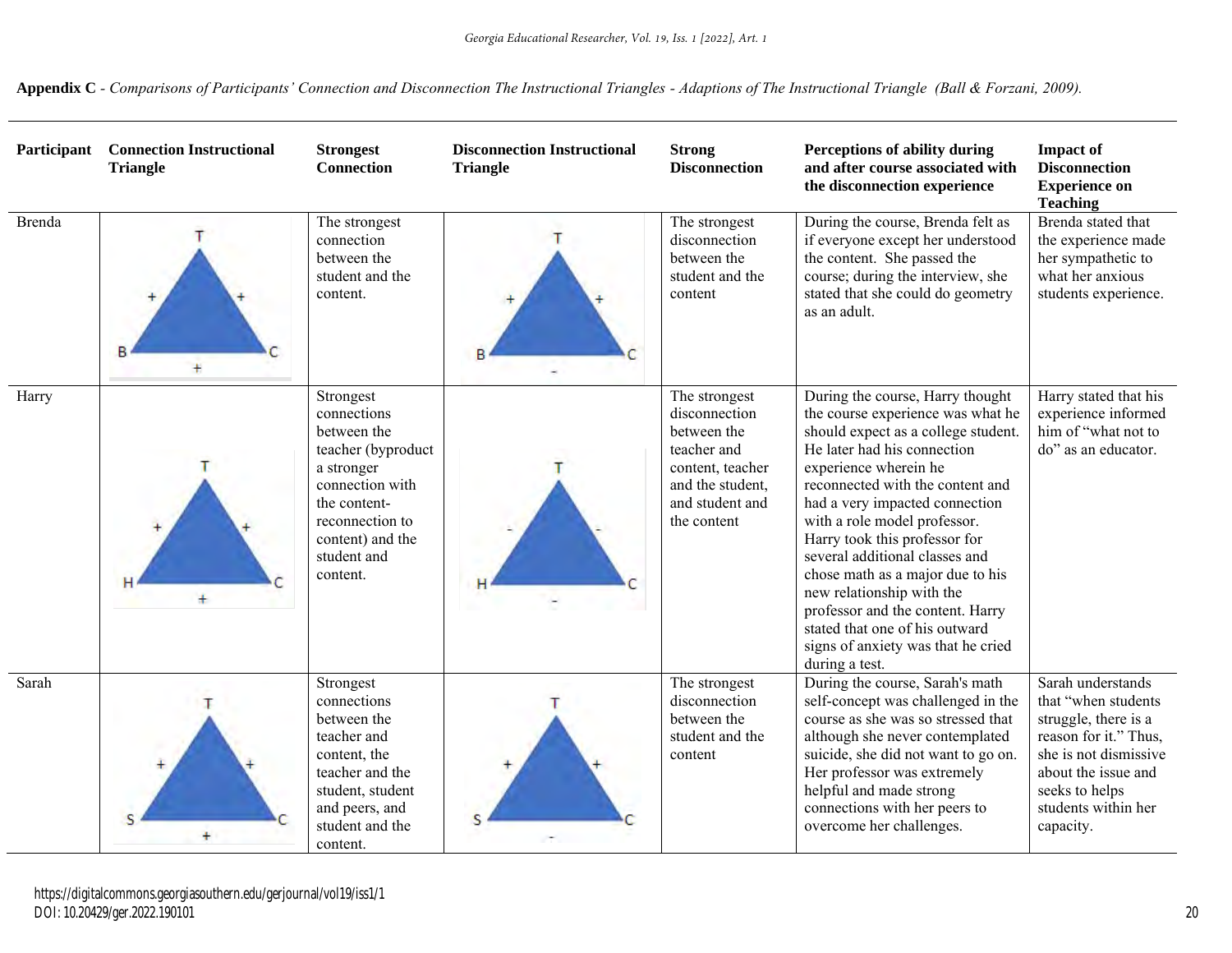**Appendix C** *- Comparisons of Participants' Connection and Disconnection The Instructional Triangles - Adaptions of The Instructional Triangle (Ball & Forzani, 2009).*

| Participant   | <b>Connection Instructional</b><br><b>Triangle</b> | <b>Strongest</b><br><b>Connection</b>                                                                                                                                            | <b>Disconnection Instructional</b><br><b>Triangle</b> | <b>Strong</b><br><b>Disconnection</b>                                                                                                  | Perceptions of ability during<br>and after course associated with<br>the disconnection experience                                                                                                                                                                                                                                                                                                                                                                                                                                            | <b>Impact of</b><br><b>Disconnection</b><br><b>Experience on</b><br><b>Teaching</b>                                                                                                             |
|---------------|----------------------------------------------------|----------------------------------------------------------------------------------------------------------------------------------------------------------------------------------|-------------------------------------------------------|----------------------------------------------------------------------------------------------------------------------------------------|----------------------------------------------------------------------------------------------------------------------------------------------------------------------------------------------------------------------------------------------------------------------------------------------------------------------------------------------------------------------------------------------------------------------------------------------------------------------------------------------------------------------------------------------|-------------------------------------------------------------------------------------------------------------------------------------------------------------------------------------------------|
| <b>Brenda</b> | $+$                                                | The strongest<br>connection<br>between the<br>student and the<br>content.                                                                                                        |                                                       | The strongest<br>disconnection<br>between the<br>student and the<br>content                                                            | During the course, Brenda felt as<br>if everyone except her understood<br>the content. She passed the<br>course; during the interview, she<br>stated that she could do geometry<br>as an adult.                                                                                                                                                                                                                                                                                                                                              | Brenda stated that<br>the experience made<br>her sympathetic to<br>what her anxious<br>students experience.                                                                                     |
| Harry         | ÷                                                  | Strongest<br>connections<br>between the<br>teacher (byproduct<br>a stronger<br>connection with<br>the content-<br>reconnection to<br>content) and the<br>student and<br>content. |                                                       | The strongest<br>disconnection<br>between the<br>teacher and<br>content, teacher<br>and the student,<br>and student and<br>the content | During the course, Harry thought<br>the course experience was what he<br>should expect as a college student.<br>He later had his connection<br>experience wherein he<br>reconnected with the content and<br>had a very impacted connection<br>with a role model professor.<br>Harry took this professor for<br>several additional classes and<br>chose math as a major due to his<br>new relationship with the<br>professor and the content. Harry<br>stated that one of his outward<br>signs of anxiety was that he cried<br>during a test. | Harry stated that his<br>experience informed<br>him of "what not to<br>do" as an educator.                                                                                                      |
| Sarah         |                                                    | Strongest<br>connections<br>between the<br>teacher and<br>content, the<br>teacher and the<br>student, student<br>and peers, and<br>student and the<br>content.                   |                                                       | The strongest<br>disconnection<br>between the<br>student and the<br>content                                                            | During the course, Sarah's math<br>self-concept was challenged in the<br>course as she was so stressed that<br>although she never contemplated<br>suicide, she did not want to go on.<br>Her professor was extremely<br>helpful and made strong<br>connections with her peers to<br>overcome her challenges.                                                                                                                                                                                                                                 | Sarah understands<br>that "when students<br>struggle, there is a<br>reason for it." Thus,<br>she is not dismissive<br>about the issue and<br>seeks to helps<br>students within her<br>capacity. |